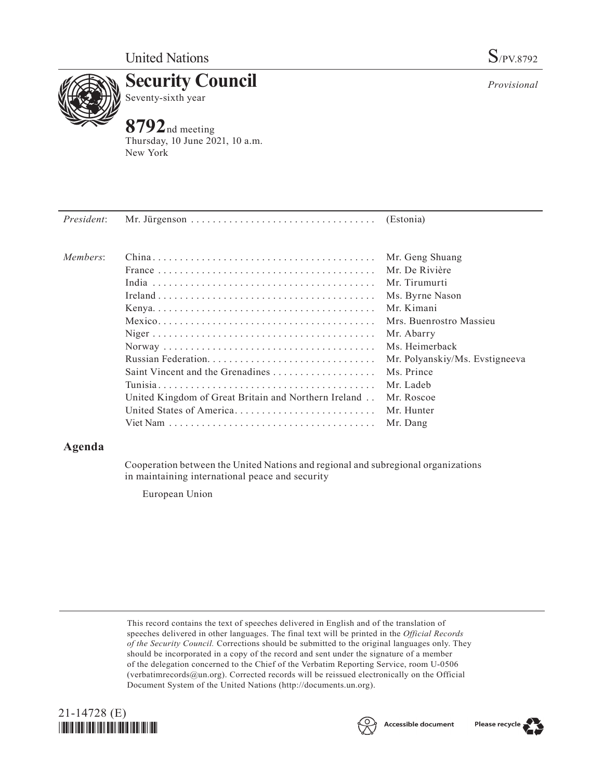

**Security Council** Seventy-sixth year

# **8792**nd meeting

Thursday, 10 June 2021, 10 a.m. New York

| New York  |  |  |
|-----------|--|--|
|           |  |  |
|           |  |  |
|           |  |  |
|           |  |  |
| (Estonia) |  |  |

| Members: |                                                      | Mr. Geng Shuang                |
|----------|------------------------------------------------------|--------------------------------|
|          |                                                      | Mr. De Rivière                 |
|          |                                                      | Mr. Tirumurti                  |
|          |                                                      | Ms. Byrne Nason                |
|          |                                                      | Mr. Kimani                     |
|          |                                                      | Mrs. Buenrostro Massieu        |
|          |                                                      | Mr. Abarry                     |
|          |                                                      | Ms. Heimerback                 |
|          |                                                      | Mr. Polyanskiy/Ms. Evstigneeva |
|          | Saint Vincent and the Grenadines                     | Ms. Prince                     |
|          |                                                      | Mr. Ladeb                      |
|          | United Kingdom of Great Britain and Northern Ireland | Mr. Roscoe                     |
|          | United States of America                             | Mr. Hunter                     |
|          |                                                      | Mr. Dang                       |
|          |                                                      |                                |

## **Agenda**

Cooperation between the United Nations and regional and subregional organizations in maintaining international peace and security

European Union

This record contains the text of speeches delivered in English and of the translation of speeches delivered in other languages. The final text will be printed in the *Official Records of the Security Council.* Corrections should be submitted to the original languages only. They should be incorporated in a copy of the record and sent under the signature of a member of the delegation concerned to the Chief of the Verbatim Reporting Service, room U-0506 (verbatimrecords@un.org). Corrected records will be reissued electronically on the Official Document System of the United Nations (http://documents.un.org).







Please recycle

*Provisional*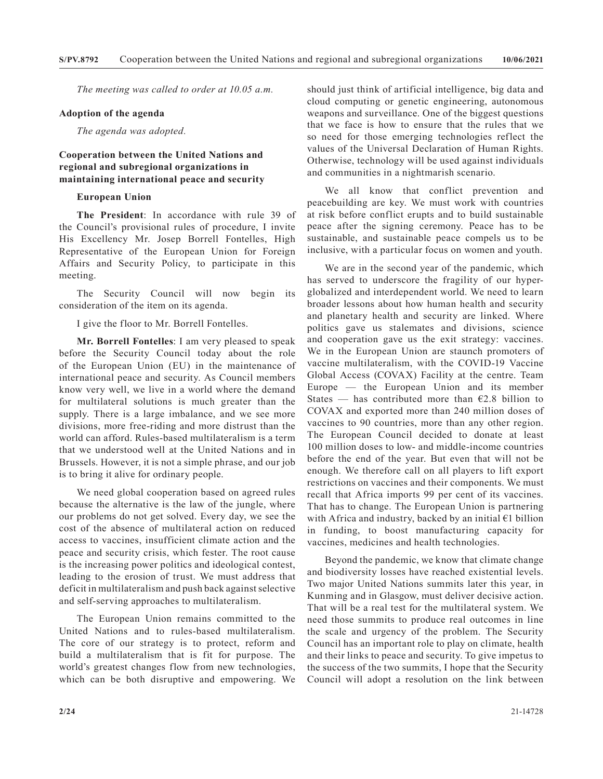*The meeting was called to order at 10.05 a.m.*

#### **Adoption of the agenda**

*The agenda was adopted.*

### **Cooperation between the United Nations and regional and subregional organizations in maintaining international peace and security**

#### **European Union**

**The President**: In accordance with rule 39 of the Council's provisional rules of procedure, I invite His Excellency Mr. Josep Borrell Fontelles, High Representative of the European Union for Foreign Affairs and Security Policy, to participate in this meeting.

The Security Council will now begin its consideration of the item on its agenda.

I give the floor to Mr. Borrell Fontelles.

**Mr. Borrell Fontelles**: I am very pleased to speak before the Security Council today about the role of the European Union (EU) in the maintenance of international peace and security. As Council members know very well, we live in a world where the demand for multilateral solutions is much greater than the supply. There is a large imbalance, and we see more divisions, more free-riding and more distrust than the world can afford. Rules-based multilateralism is a term that we understood well at the United Nations and in Brussels. However, it is not a simple phrase, and our job is to bring it alive for ordinary people.

We need global cooperation based on agreed rules because the alternative is the law of the jungle, where our problems do not get solved. Every day, we see the cost of the absence of multilateral action on reduced access to vaccines, insufficient climate action and the peace and security crisis, which fester. The root cause is the increasing power politics and ideological contest, leading to the erosion of trust. We must address that deficit in multilateralism and push back against selective and self-serving approaches to multilateralism.

The European Union remains committed to the United Nations and to rules-based multilateralism. The core of our strategy is to protect, reform and build a multilateralism that is fit for purpose. The world's greatest changes flow from new technologies, which can be both disruptive and empowering. We should just think of artificial intelligence, big data and cloud computing or genetic engineering, autonomous weapons and surveillance. One of the biggest questions that we face is how to ensure that the rules that we so need for those emerging technologies reflect the values of the Universal Declaration of Human Rights. Otherwise, technology will be used against individuals and communities in a nightmarish scenario.

We all know that conflict prevention and peacebuilding are key. We must work with countries at risk before conflict erupts and to build sustainable peace after the signing ceremony. Peace has to be sustainable, and sustainable peace compels us to be inclusive, with a particular focus on women and youth.

We are in the second year of the pandemic, which has served to underscore the fragility of our hyperglobalized and interdependent world. We need to learn broader lessons about how human health and security and planetary health and security are linked. Where politics gave us stalemates and divisions, science and cooperation gave us the exit strategy: vaccines. We in the European Union are staunch promoters of vaccine multilateralism, with the COVID-19 Vaccine Global Access (COVAX) Facility at the centre. Team Europe — the European Union and its member States — has contributed more than  $E2.8$  billion to COVAX and exported more than 240 million doses of vaccines to 90 countries, more than any other region. The European Council decided to donate at least 100 million doses to low- and middle-income countries before the end of the year. But even that will not be enough. We therefore call on all players to lift export restrictions on vaccines and their components. We must recall that Africa imports 99 per cent of its vaccines. That has to change. The European Union is partnering with Africa and industry, backed by an initial €1 billion in funding, to boost manufacturing capacity for vaccines, medicines and health technologies.

Beyond the pandemic, we know that climate change and biodiversity losses have reached existential levels. Two major United Nations summits later this year, in Kunming and in Glasgow, must deliver decisive action. That will be a real test for the multilateral system. We need those summits to produce real outcomes in line the scale and urgency of the problem. The Security Council has an important role to play on climate, health and their links to peace and security. To give impetus to the success of the two summits, I hope that the Security Council will adopt a resolution on the link between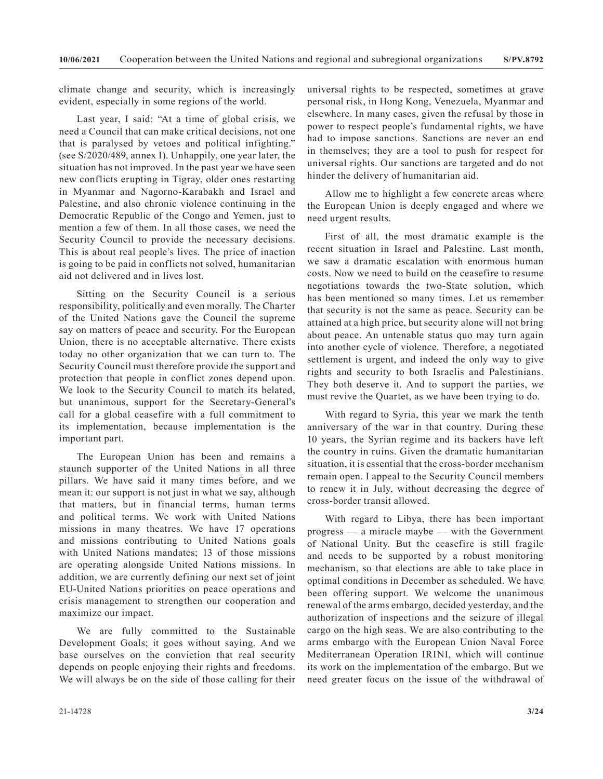climate change and security, which is increasingly evident, especially in some regions of the world.

Last year, I said: "At a time of global crisis, we need a Council that can make critical decisions, not one that is paralysed by vetoes and political infighting." (see S/2020/489, annex I). Unhappily, one year later, the situation has not improved. In the past year we have seen new conflicts erupting in Tigray, older ones restarting in Myanmar and Nagorno-Karabakh and Israel and Palestine, and also chronic violence continuing in the Democratic Republic of the Congo and Yemen, just to mention a few of them. In all those cases, we need the Security Council to provide the necessary decisions. This is about real people's lives. The price of inaction is going to be paid in conflicts not solved, humanitarian aid not delivered and in lives lost.

Sitting on the Security Council is a serious responsibility, politically and even morally. The Charter of the United Nations gave the Council the supreme say on matters of peace and security. For the European Union, there is no acceptable alternative. There exists today no other organization that we can turn to. The Security Council must therefore provide the support and protection that people in conflict zones depend upon. We look to the Security Council to match its belated, but unanimous, support for the Secretary-General's call for a global ceasefire with a full commitment to its implementation, because implementation is the important part.

The European Union has been and remains a staunch supporter of the United Nations in all three pillars. We have said it many times before, and we mean it: our support is not just in what we say, although that matters, but in financial terms, human terms and political terms. We work with United Nations missions in many theatres. We have 17 operations and missions contributing to United Nations goals with United Nations mandates; 13 of those missions are operating alongside United Nations missions. In addition, we are currently defining our next set of joint EU-United Nations priorities on peace operations and crisis management to strengthen our cooperation and maximize our impact.

We are fully committed to the Sustainable Development Goals; it goes without saying. And we base ourselves on the conviction that real security depends on people enjoying their rights and freedoms. We will always be on the side of those calling for their universal rights to be respected, sometimes at grave personal risk, in Hong Kong, Venezuela, Myanmar and elsewhere. In many cases, given the refusal by those in power to respect people's fundamental rights, we have had to impose sanctions. Sanctions are never an end in themselves; they are a tool to push for respect for universal rights. Our sanctions are targeted and do not hinder the delivery of humanitarian aid.

Allow me to highlight a few concrete areas where the European Union is deeply engaged and where we need urgent results.

First of all, the most dramatic example is the recent situation in Israel and Palestine. Last month, we saw a dramatic escalation with enormous human costs. Now we need to build on the ceasefire to resume negotiations towards the two-State solution, which has been mentioned so many times. Let us remember that security is not the same as peace. Security can be attained at a high price, but security alone will not bring about peace. An untenable status quo may turn again into another cycle of violence. Therefore, a negotiated settlement is urgent, and indeed the only way to give rights and security to both Israelis and Palestinians. They both deserve it. And to support the parties, we must revive the Quartet, as we have been trying to do.

With regard to Syria, this year we mark the tenth anniversary of the war in that country. During these 10 years, the Syrian regime and its backers have left the country in ruins. Given the dramatic humanitarian situation, it is essential that the cross-border mechanism remain open. I appeal to the Security Council members to renew it in July, without decreasing the degree of cross-border transit allowed.

With regard to Libya, there has been important progress — a miracle maybe — with the Government of National Unity. But the ceasefire is still fragile and needs to be supported by a robust monitoring mechanism, so that elections are able to take place in optimal conditions in December as scheduled. We have been offering support. We welcome the unanimous renewal of the arms embargo, decided yesterday, and the authorization of inspections and the seizure of illegal cargo on the high seas. We are also contributing to the arms embargo with the European Union Naval Force Mediterranean Operation IRINI, which will continue its work on the implementation of the embargo. But we need greater focus on the issue of the withdrawal of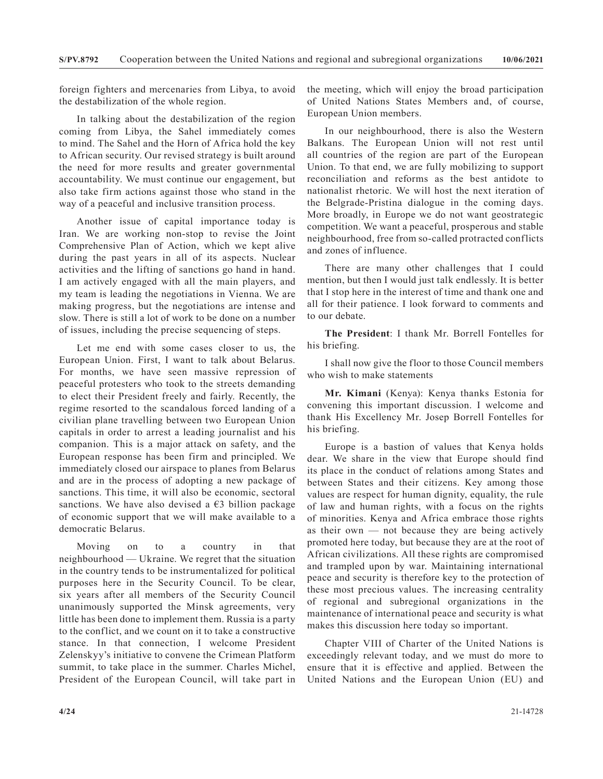foreign fighters and mercenaries from Libya, to avoid the destabilization of the whole region.

In talking about the destabilization of the region coming from Libya, the Sahel immediately comes to mind. The Sahel and the Horn of Africa hold the key to African security. Our revised strategy is built around the need for more results and greater governmental accountability. We must continue our engagement, but also take firm actions against those who stand in the way of a peaceful and inclusive transition process.

Another issue of capital importance today is Iran. We are working non-stop to revise the Joint Comprehensive Plan of Action, which we kept alive during the past years in all of its aspects. Nuclear activities and the lifting of sanctions go hand in hand. I am actively engaged with all the main players, and my team is leading the negotiations in Vienna. We are making progress, but the negotiations are intense and slow. There is still a lot of work to be done on a number of issues, including the precise sequencing of steps.

Let me end with some cases closer to us, the European Union. First, I want to talk about Belarus. For months, we have seen massive repression of peaceful protesters who took to the streets demanding to elect their President freely and fairly. Recently, the regime resorted to the scandalous forced landing of a civilian plane travelling between two European Union capitals in order to arrest a leading journalist and his companion. This is a major attack on safety, and the European response has been firm and principled. We immediately closed our airspace to planes from Belarus and are in the process of adopting a new package of sanctions. This time, it will also be economic, sectoral sanctions. We have also devised a  $63$  billion package of economic support that we will make available to a democratic Belarus.

Moving on to a country in that neighbourhood — Ukraine. We regret that the situation in the country tends to be instrumentalized for political purposes here in the Security Council. To be clear, six years after all members of the Security Council unanimously supported the Minsk agreements, very little has been done to implement them. Russia is a party to the conflict, and we count on it to take a constructive stance. In that connection, I welcome President Zelenskyy's initiative to convene the Crimean Platform summit, to take place in the summer. Charles Michel, President of the European Council, will take part in

the meeting, which will enjoy the broad participation of United Nations States Members and, of course, European Union members.

In our neighbourhood, there is also the Western Balkans. The European Union will not rest until all countries of the region are part of the European Union. To that end, we are fully mobilizing to support reconciliation and reforms as the best antidote to nationalist rhetoric. We will host the next iteration of the Belgrade-Pristina dialogue in the coming days. More broadly, in Europe we do not want geostrategic competition. We want a peaceful, prosperous and stable neighbourhood, free from so-called protracted conflicts and zones of influence.

There are many other challenges that I could mention, but then I would just talk endlessly. It is better that I stop here in the interest of time and thank one and all for their patience. I look forward to comments and to our debate.

**The President**: I thank Mr. Borrell Fontelles for his briefing.

I shall now give the floor to those Council members who wish to make statements

**Mr. Kimani** (Kenya): Kenya thanks Estonia for convening this important discussion. I welcome and thank His Excellency Mr. Josep Borrell Fontelles for his briefing.

Europe is a bastion of values that Kenya holds dear. We share in the view that Europe should find its place in the conduct of relations among States and between States and their citizens. Key among those values are respect for human dignity, equality, the rule of law and human rights, with a focus on the rights of minorities. Kenya and Africa embrace those rights as their own — not because they are being actively promoted here today, but because they are at the root of African civilizations. All these rights are compromised and trampled upon by war. Maintaining international peace and security is therefore key to the protection of these most precious values. The increasing centrality of regional and subregional organizations in the maintenance of international peace and security is what makes this discussion here today so important.

Chapter VIII of Charter of the United Nations is exceedingly relevant today, and we must do more to ensure that it is effective and applied. Between the United Nations and the European Union (EU) and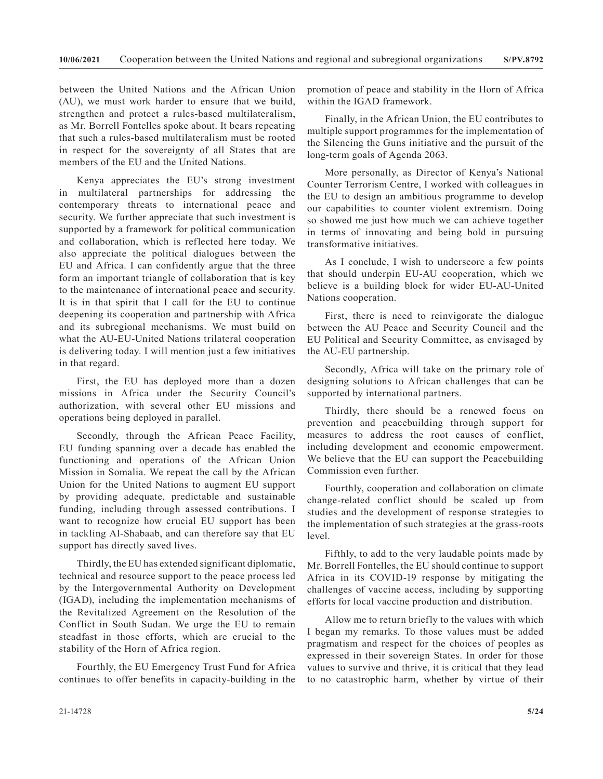between the United Nations and the African Union (AU), we must work harder to ensure that we build, strengthen and protect a rules-based multilateralism, as Mr. Borrell Fontelles spoke about. It bears repeating that such a rules-based multilateralism must be rooted in respect for the sovereignty of all States that are members of the EU and the United Nations.

Kenya appreciates the EU's strong investment in multilateral partnerships for addressing the contemporary threats to international peace and security. We further appreciate that such investment is supported by a framework for political communication and collaboration, which is reflected here today. We also appreciate the political dialogues between the EU and Africa. I can confidently argue that the three form an important triangle of collaboration that is key to the maintenance of international peace and security. It is in that spirit that I call for the EU to continue deepening its cooperation and partnership with Africa and its subregional mechanisms. We must build on what the AU-EU-United Nations trilateral cooperation is delivering today. I will mention just a few initiatives in that regard.

First, the EU has deployed more than a dozen missions in Africa under the Security Council's authorization, with several other EU missions and operations being deployed in parallel.

Secondly, through the African Peace Facility, EU funding spanning over a decade has enabled the functioning and operations of the African Union Mission in Somalia. We repeat the call by the African Union for the United Nations to augment EU support by providing adequate, predictable and sustainable funding, including through assessed contributions. I want to recognize how crucial EU support has been in tackling Al-Shabaab, and can therefore say that EU support has directly saved lives.

Thirdly, the EU has extended significant diplomatic, technical and resource support to the peace process led by the Intergovernmental Authority on Development (IGAD), including the implementation mechanisms of the Revitalized Agreement on the Resolution of the Conflict in South Sudan. We urge the EU to remain steadfast in those efforts, which are crucial to the stability of the Horn of Africa region.

Fourthly, the EU Emergency Trust Fund for Africa continues to offer benefits in capacity-building in the promotion of peace and stability in the Horn of Africa within the IGAD framework.

Finally, in the African Union, the EU contributes to multiple support programmes for the implementation of the Silencing the Guns initiative and the pursuit of the long-term goals of Agenda 2063.

More personally, as Director of Kenya's National Counter Terrorism Centre, I worked with colleagues in the EU to design an ambitious programme to develop our capabilities to counter violent extremism. Doing so showed me just how much we can achieve together in terms of innovating and being bold in pursuing transformative initiatives.

As I conclude, I wish to underscore a few points that should underpin EU-AU cooperation, which we believe is a building block for wider EU-AU-United Nations cooperation.

First, there is need to reinvigorate the dialogue between the AU Peace and Security Council and the EU Political and Security Committee, as envisaged by the AU-EU partnership.

Secondly, Africa will take on the primary role of designing solutions to African challenges that can be supported by international partners.

Thirdly, there should be a renewed focus on prevention and peacebuilding through support for measures to address the root causes of conflict, including development and economic empowerment. We believe that the EU can support the Peacebuilding Commission even further.

Fourthly, cooperation and collaboration on climate change-related conflict should be scaled up from studies and the development of response strategies to the implementation of such strategies at the grass-roots level.

Fifthly, to add to the very laudable points made by Mr. Borrell Fontelles, the EU should continue to support Africa in its COVID-19 response by mitigating the challenges of vaccine access, including by supporting efforts for local vaccine production and distribution.

Allow me to return briefly to the values with which I began my remarks. To those values must be added pragmatism and respect for the choices of peoples as expressed in their sovereign States. In order for those values to survive and thrive, it is critical that they lead to no catastrophic harm, whether by virtue of their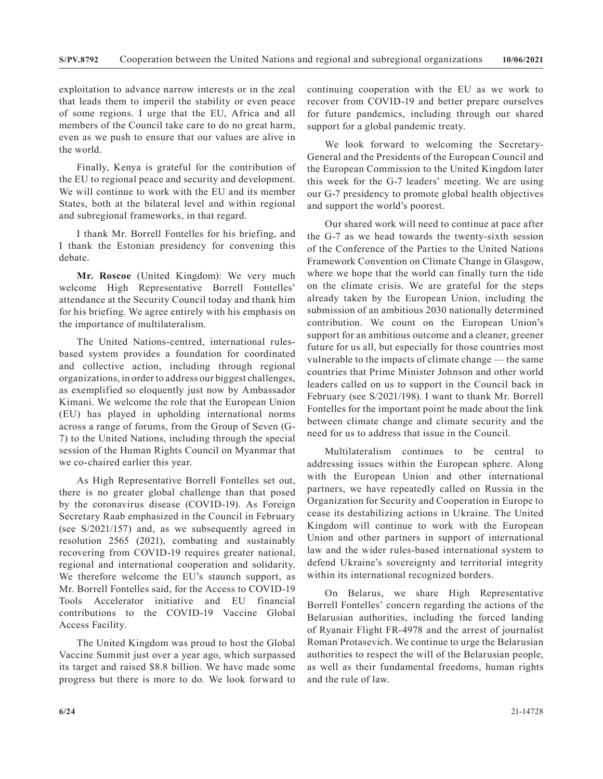exploitation to advance narrow interests or in the zeal that leads them to imperil the stability or even peace of some regions. I urge that the EU, Africa and all members of the Council take care to do no great harm, even as we push to ensure that our values are alive in the world.

Finally, Kenya is grateful for the contribution of the EU to regional peace and security and development. We will continue to work with the EU and its member States, both at the bilateral level and within regional and subregional frameworks, in that regard.

I thank Mr. Borrell Fontelles for his briefing, and I thank the Estonian presidency for convening this debate.

**Mr. Roscoe** (United Kingdom): We very much welcome High Representative Borrell Fontelles' attendance at the Security Council today and thank him for his briefing. We agree entirely with his emphasis on the importance of multilateralism.

The United Nations-centred, international rulesbased system provides a foundation for coordinated and collective action, including through regional organizations, in order to address our biggest challenges, as exemplified so eloquently just now by Ambassador Kimani. We welcome the role that the European Union (EU) has played in upholding international norms across a range of forums, from the Group of Seven (G-7) to the United Nations, including through the special session of the Human Rights Council on Myanmar that we co-chaired earlier this year.

As High Representative Borrell Fontelles set out, there is no greater global challenge than that posed by the coronavirus disease (COVID-19). As Foreign Secretary Raab emphasized in the Council in February (see S/2021/157) and, as we subsequently agreed in resolution 2565 (2021), combating and sustainably recovering from COVID-19 requires greater national, regional and international cooperation and solidarity. We therefore welcome the EU's staunch support, as Mr. Borrell Fontelles said, for the Access to COVID-19 Tools Accelerator initiative and EU financial contributions to the COVID-19 Vaccine Global Access Facility.

The United Kingdom was proud to host the Global Vaccine Summit just over a year ago, which surpassed its target and raised \$8.8 billion. We have made some progress but there is more to do. We look forward to continuing cooperation with the EU as we work to recover from COVID-19 and better prepare ourselves for future pandemics, including through our shared support for a global pandemic treaty.

We look forward to welcoming the Secretary-General and the Presidents of the European Council and the European Commission to the United Kingdom later this week for the G-7 leaders' meeting. We are using our G-7 presidency to promote global health objectives and support the world's poorest.

Our shared work will need to continue at pace after the G-7 as we head towards the twenty-sixth session of the Conference of the Parties to the United Nations Framework Convention on Climate Change in Glasgow, where we hope that the world can finally turn the tide on the climate crisis. We are grateful for the steps already taken by the European Union, including the submission of an ambitious 2030 nationally determined contribution. We count on the European Union's support for an ambitious outcome and a cleaner, greener future for us all, but especially for those countries most vulnerable to the impacts of climate change — the same countries that Prime Minister Johnson and other world leaders called on us to support in the Council back in February (see S/2021/198). I want to thank Mr. Borrell Fontelles for the important point he made about the link between climate change and climate security and the need for us to address that issue in the Council.

Multilateralism continues to be central to addressing issues within the European sphere. Along with the European Union and other international partners, we have repeatedly called on Russia in the Organization for Security and Cooperation in Europe to cease its destabilizing actions in Ukraine. The United Kingdom will continue to work with the European Union and other partners in support of international law and the wider rules-based international system to defend Ukraine's sovereignty and territorial integrity within its international recognized borders.

On Belarus, we share High Representative Borrell Fontelles' concern regarding the actions of the Belarusian authorities, including the forced landing of Ryanair Flight FR-4978 and the arrest of journalist Roman Protasevich. We continue to urge the Belarusian authorities to respect the will of the Belarusian people, as well as their fundamental freedoms, human rights and the rule of law.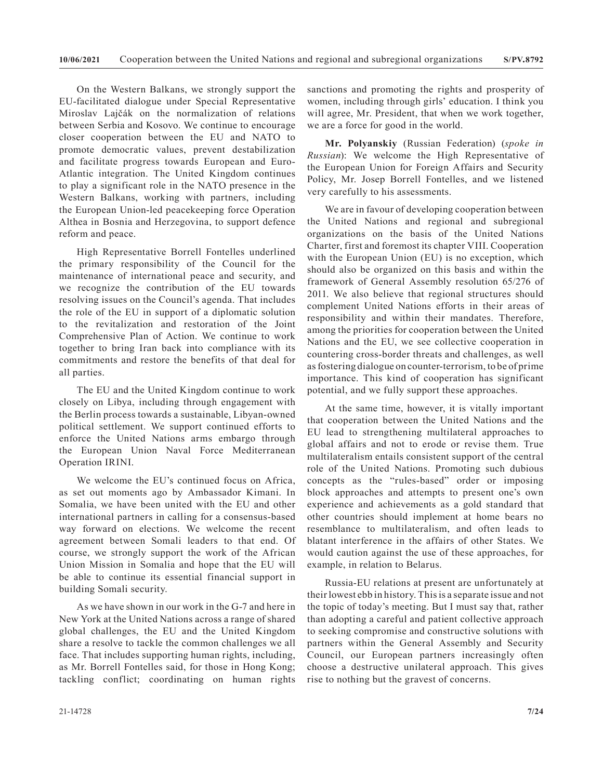On the Western Balkans, we strongly support the EU-facilitated dialogue under Special Representative Miroslav Lajčák on the normalization of relations between Serbia and Kosovo. We continue to encourage closer cooperation between the EU and NATO to promote democratic values, prevent destabilization and facilitate progress towards European and Euro-Atlantic integration. The United Kingdom continues to play a significant role in the NATO presence in the Western Balkans, working with partners, including the European Union-led peacekeeping force Operation Althea in Bosnia and Herzegovina, to support defence reform and peace.

High Representative Borrell Fontelles underlined the primary responsibility of the Council for the maintenance of international peace and security, and we recognize the contribution of the EU towards resolving issues on the Council's agenda. That includes the role of the EU in support of a diplomatic solution to the revitalization and restoration of the Joint Comprehensive Plan of Action. We continue to work together to bring Iran back into compliance with its commitments and restore the benefits of that deal for all parties.

The EU and the United Kingdom continue to work closely on Libya, including through engagement with the Berlin process towards a sustainable, Libyan-owned political settlement. We support continued efforts to enforce the United Nations arms embargo through the European Union Naval Force Mediterranean Operation IRINI.

We welcome the EU's continued focus on Africa, as set out moments ago by Ambassador Kimani. In Somalia, we have been united with the EU and other international partners in calling for a consensus-based way forward on elections. We welcome the recent agreement between Somali leaders to that end. Of course, we strongly support the work of the African Union Mission in Somalia and hope that the EU will be able to continue its essential financial support in building Somali security.

As we have shown in our work in the G-7 and here in New York at the United Nations across a range of shared global challenges, the EU and the United Kingdom share a resolve to tackle the common challenges we all face. That includes supporting human rights, including, as Mr. Borrell Fontelles said, for those in Hong Kong; tackling conflict; coordinating on human rights

sanctions and promoting the rights and prosperity of women, including through girls' education. I think you will agree, Mr. President, that when we work together, we are a force for good in the world.

**Mr. Polyanskiy** (Russian Federation) (*spoke in Russian*): We welcome the High Representative of the European Union for Foreign Affairs and Security Policy, Mr. Josep Borrell Fontelles, and we listened very carefully to his assessments.

We are in favour of developing cooperation between the United Nations and regional and subregional organizations on the basis of the United Nations Charter, first and foremost its chapter VIII. Cooperation with the European Union (EU) is no exception, which should also be organized on this basis and within the framework of General Assembly resolution 65/276 of 2011. We also believe that regional structures should complement United Nations efforts in their areas of responsibility and within their mandates. Therefore, among the priorities for cooperation between the United Nations and the EU, we see collective cooperation in countering cross-border threats and challenges, as well as fostering dialogue on counter-terrorism, to be of prime importance. This kind of cooperation has significant potential, and we fully support these approaches.

At the same time, however, it is vitally important that cooperation between the United Nations and the EU lead to strengthening multilateral approaches to global affairs and not to erode or revise them. True multilateralism entails consistent support of the central role of the United Nations. Promoting such dubious concepts as the "rules-based" order or imposing block approaches and attempts to present one's own experience and achievements as a gold standard that other countries should implement at home bears no resemblance to multilateralism, and often leads to blatant interference in the affairs of other States. We would caution against the use of these approaches, for example, in relation to Belarus.

Russia-EU relations at present are unfortunately at their lowest ebb in history. This is a separate issue and not the topic of today's meeting. But I must say that, rather than adopting a careful and patient collective approach to seeking compromise and constructive solutions with partners within the General Assembly and Security Council, our European partners increasingly often choose a destructive unilateral approach. This gives rise to nothing but the gravest of concerns.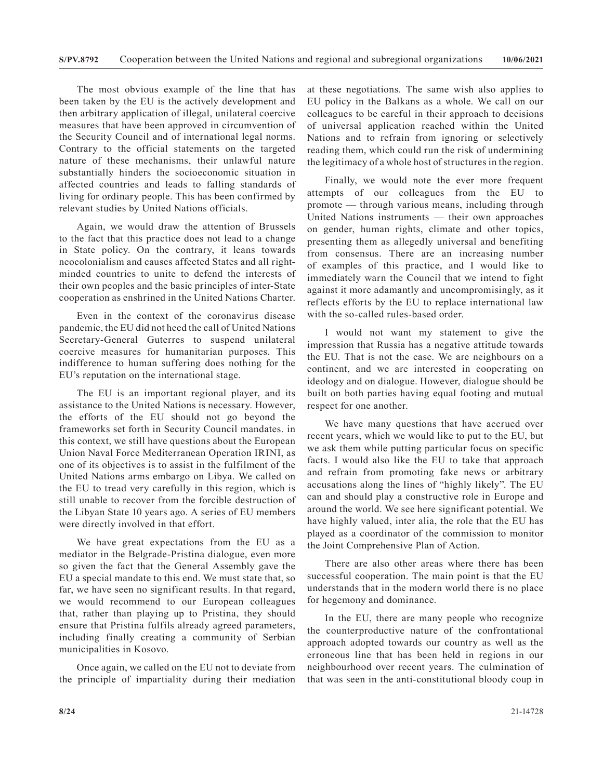The most obvious example of the line that has been taken by the EU is the actively development and then arbitrary application of illegal, unilateral coercive measures that have been approved in circumvention of the Security Council and of international legal norms. Contrary to the official statements on the targeted nature of these mechanisms, their unlawful nature substantially hinders the socioeconomic situation in affected countries and leads to falling standards of living for ordinary people. This has been confirmed by relevant studies by United Nations officials.

Again, we would draw the attention of Brussels to the fact that this practice does not lead to a change in State policy. On the contrary, it leans towards neocolonialism and causes affected States and all rightminded countries to unite to defend the interests of their own peoples and the basic principles of inter-State cooperation as enshrined in the United Nations Charter.

Even in the context of the coronavirus disease pandemic, the EU did not heed the call of United Nations Secretary-General Guterres to suspend unilateral coercive measures for humanitarian purposes. This indifference to human suffering does nothing for the EU's reputation on the international stage.

The EU is an important regional player, and its assistance to the United Nations is necessary. However, the efforts of the EU should not go beyond the frameworks set forth in Security Council mandates. in this context, we still have questions about the European Union Naval Force Mediterranean Operation IRINI, as one of its objectives is to assist in the fulfilment of the United Nations arms embargo on Libya. We called on the EU to tread very carefully in this region, which is still unable to recover from the forcible destruction of the Libyan State 10 years ago. A series of EU members were directly involved in that effort.

We have great expectations from the EU as a mediator in the Belgrade-Pristina dialogue, even more so given the fact that the General Assembly gave the EU a special mandate to this end. We must state that, so far, we have seen no significant results. In that regard, we would recommend to our European colleagues that, rather than playing up to Pristina, they should ensure that Pristina fulfils already agreed parameters, including finally creating a community of Serbian municipalities in Kosovo.

Once again, we called on the EU not to deviate from the principle of impartiality during their mediation at these negotiations. The same wish also applies to EU policy in the Balkans as a whole. We call on our colleagues to be careful in their approach to decisions of universal application reached within the United Nations and to refrain from ignoring or selectively reading them, which could run the risk of undermining the legitimacy of a whole host of structures in the region.

Finally, we would note the ever more frequent attempts of our colleagues from the EU to promote — through various means, including through United Nations instruments — their own approaches on gender, human rights, climate and other topics, presenting them as allegedly universal and benefiting from consensus. There are an increasing number of examples of this practice, and I would like to immediately warn the Council that we intend to fight against it more adamantly and uncompromisingly, as it reflects efforts by the EU to replace international law with the so-called rules-based order.

I would not want my statement to give the impression that Russia has a negative attitude towards the EU. That is not the case. We are neighbours on a continent, and we are interested in cooperating on ideology and on dialogue. However, dialogue should be built on both parties having equal footing and mutual respect for one another.

We have many questions that have accrued over recent years, which we would like to put to the EU, but we ask them while putting particular focus on specific facts. I would also like the EU to take that approach and refrain from promoting fake news or arbitrary accusations along the lines of "highly likely". The EU can and should play a constructive role in Europe and around the world. We see here significant potential. We have highly valued, inter alia, the role that the EU has played as a coordinator of the commission to monitor the Joint Comprehensive Plan of Action.

There are also other areas where there has been successful cooperation. The main point is that the EU understands that in the modern world there is no place for hegemony and dominance.

In the EU, there are many people who recognize the counterproductive nature of the confrontational approach adopted towards our country as well as the erroneous line that has been held in regions in our neighbourhood over recent years. The culmination of that was seen in the anti-constitutional bloody coup in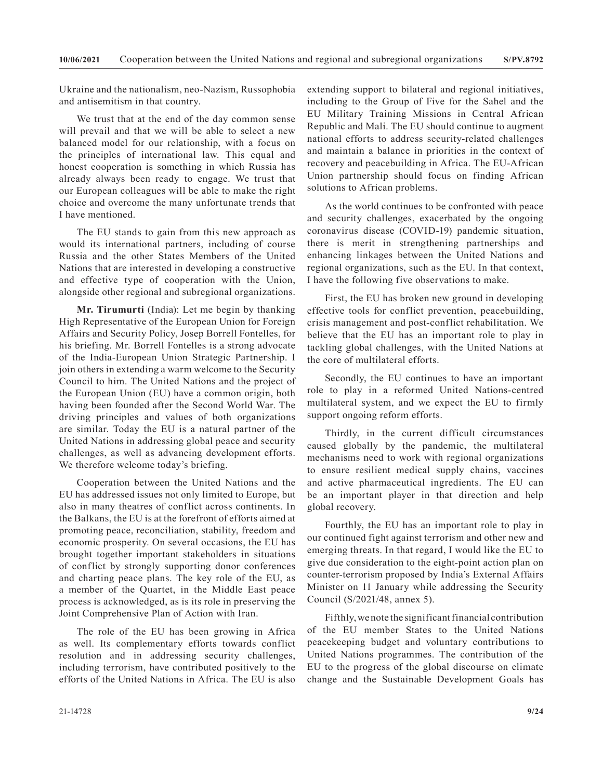Ukraine and the nationalism, neo-Nazism, Russophobia and antisemitism in that country.

We trust that at the end of the day common sense will prevail and that we will be able to select a new balanced model for our relationship, with a focus on the principles of international law. This equal and honest cooperation is something in which Russia has already always been ready to engage. We trust that our European colleagues will be able to make the right choice and overcome the many unfortunate trends that I have mentioned.

The EU stands to gain from this new approach as would its international partners, including of course Russia and the other States Members of the United Nations that are interested in developing a constructive and effective type of cooperation with the Union, alongside other regional and subregional organizations.

**Mr. Tirumurti** (India): Let me begin by thanking High Representative of the European Union for Foreign Affairs and Security Policy, Josep Borrell Fontelles, for his briefing. Mr. Borrell Fontelles is a strong advocate of the India-European Union Strategic Partnership. I join others in extending a warm welcome to the Security Council to him. The United Nations and the project of the European Union (EU) have a common origin, both having been founded after the Second World War. The driving principles and values of both organizations are similar. Today the EU is a natural partner of the United Nations in addressing global peace and security challenges, as well as advancing development efforts. We therefore welcome today's briefing.

Cooperation between the United Nations and the EU has addressed issues not only limited to Europe, but also in many theatres of conflict across continents. In the Balkans, the EU is at the forefront of efforts aimed at promoting peace, reconciliation, stability, freedom and economic prosperity. On several occasions, the EU has brought together important stakeholders in situations of conflict by strongly supporting donor conferences and charting peace plans. The key role of the EU, as a member of the Quartet, in the Middle East peace process is acknowledged, as is its role in preserving the Joint Comprehensive Plan of Action with Iran.

The role of the EU has been growing in Africa as well. Its complementary efforts towards conflict resolution and in addressing security challenges, including terrorism, have contributed positively to the efforts of the United Nations in Africa. The EU is also extending support to bilateral and regional initiatives, including to the Group of Five for the Sahel and the EU Military Training Missions in Central African Republic and Mali. The EU should continue to augment national efforts to address security-related challenges and maintain a balance in priorities in the context of recovery and peacebuilding in Africa. The EU-African Union partnership should focus on finding African solutions to African problems.

As the world continues to be confronted with peace and security challenges, exacerbated by the ongoing coronavirus disease (COVID-19) pandemic situation, there is merit in strengthening partnerships and enhancing linkages between the United Nations and regional organizations, such as the EU. In that context, I have the following five observations to make.

First, the EU has broken new ground in developing effective tools for conflict prevention, peacebuilding, crisis management and post-conflict rehabilitation. We believe that the EU has an important role to play in tackling global challenges, with the United Nations at the core of multilateral efforts.

Secondly, the EU continues to have an important role to play in a reformed United Nations-centred multilateral system, and we expect the EU to firmly support ongoing reform efforts.

Thirdly, in the current difficult circumstances caused globally by the pandemic, the multilateral mechanisms need to work with regional organizations to ensure resilient medical supply chains, vaccines and active pharmaceutical ingredients. The EU can be an important player in that direction and help global recovery.

Fourthly, the EU has an important role to play in our continued fight against terrorism and other new and emerging threats. In that regard, I would like the EU to give due consideration to the eight-point action plan on counter-terrorism proposed by India's External Affairs Minister on 11 January while addressing the Security Council (S/2021/48, annex 5).

Fifthly, we note the significant financial contribution of the EU member States to the United Nations peacekeeping budget and voluntary contributions to United Nations programmes. The contribution of the EU to the progress of the global discourse on climate change and the Sustainable Development Goals has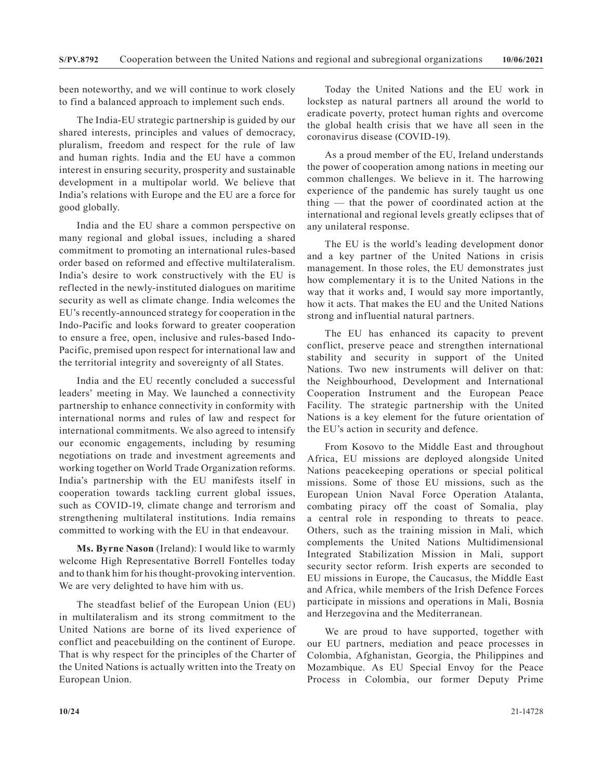been noteworthy, and we will continue to work closely to find a balanced approach to implement such ends.

The India-EU strategic partnership is guided by our shared interests, principles and values of democracy, pluralism, freedom and respect for the rule of law and human rights. India and the EU have a common interest in ensuring security, prosperity and sustainable development in a multipolar world. We believe that India's relations with Europe and the EU are a force for good globally.

India and the EU share a common perspective on many regional and global issues, including a shared commitment to promoting an international rules-based order based on reformed and effective multilateralism. India's desire to work constructively with the EU is reflected in the newly-instituted dialogues on maritime security as well as climate change. India welcomes the EU's recently-announced strategy for cooperation in the Indo-Pacific and looks forward to greater cooperation to ensure a free, open, inclusive and rules-based Indo-Pacific, premised upon respect for international law and the territorial integrity and sovereignty of all States.

India and the EU recently concluded a successful leaders' meeting in May. We launched a connectivity partnership to enhance connectivity in conformity with international norms and rules of law and respect for international commitments. We also agreed to intensify our economic engagements, including by resuming negotiations on trade and investment agreements and working together on World Trade Organization reforms. India's partnership with the EU manifests itself in cooperation towards tackling current global issues, such as COVID-19, climate change and terrorism and strengthening multilateral institutions. India remains committed to working with the EU in that endeavour.

**Ms. Byrne Nason** (Ireland): I would like to warmly welcome High Representative Borrell Fontelles today and to thank him for his thought-provoking intervention. We are very delighted to have him with us.

The steadfast belief of the European Union (EU) in multilateralism and its strong commitment to the United Nations are borne of its lived experience of conflict and peacebuilding on the continent of Europe. That is why respect for the principles of the Charter of the United Nations is actually written into the Treaty on European Union.

Today the United Nations and the EU work in lockstep as natural partners all around the world to eradicate poverty, protect human rights and overcome the global health crisis that we have all seen in the coronavirus disease (COVID-19).

As a proud member of the EU, Ireland understands the power of cooperation among nations in meeting our common challenges. We believe in it. The harrowing experience of the pandemic has surely taught us one thing — that the power of coordinated action at the international and regional levels greatly eclipses that of any unilateral response.

The EU is the world's leading development donor and a key partner of the United Nations in crisis management. In those roles, the EU demonstrates just how complementary it is to the United Nations in the way that it works and, I would say more importantly, how it acts. That makes the EU and the United Nations strong and influential natural partners.

The EU has enhanced its capacity to prevent conflict, preserve peace and strengthen international stability and security in support of the United Nations. Two new instruments will deliver on that: the Neighbourhood, Development and International Cooperation Instrument and the European Peace Facility. The strategic partnership with the United Nations is a key element for the future orientation of the EU's action in security and defence.

From Kosovo to the Middle East and throughout Africa, EU missions are deployed alongside United Nations peacekeeping operations or special political missions. Some of those EU missions, such as the European Union Naval Force Operation Atalanta, combating piracy off the coast of Somalia, play a central role in responding to threats to peace. Others, such as the training mission in Mali, which complements the United Nations Multidimensional Integrated Stabilization Mission in Mali, support security sector reform. Irish experts are seconded to EU missions in Europe, the Caucasus, the Middle East and Africa, while members of the Irish Defence Forces participate in missions and operations in Mali, Bosnia and Herzegovina and the Mediterranean.

We are proud to have supported, together with our EU partners, mediation and peace processes in Colombia, Afghanistan, Georgia, the Philippines and Mozambique. As EU Special Envoy for the Peace Process in Colombia, our former Deputy Prime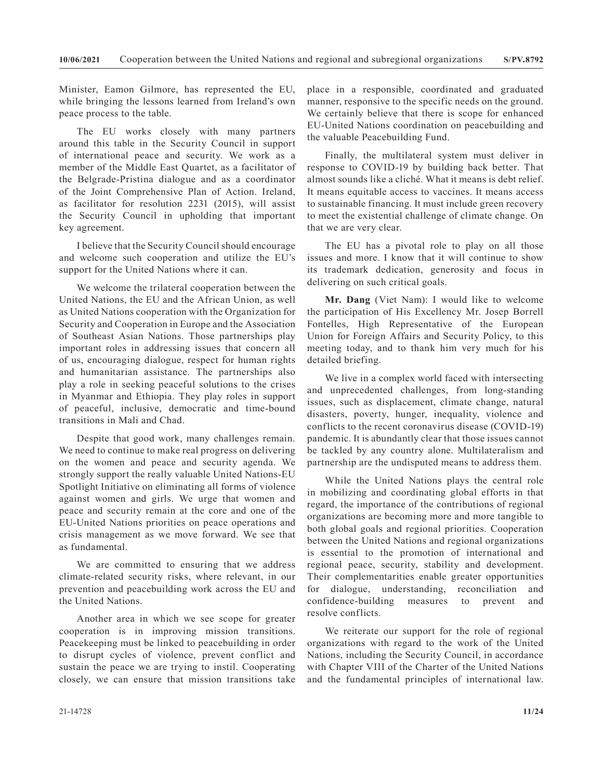Minister, Eamon Gilmore, has represented the EU, while bringing the lessons learned from Ireland's own peace process to the table.

The EU works closely with many partners around this table in the Security Council in support of international peace and security. We work as a member of the Middle East Quartet, as a facilitator of the Belgrade-Pristina dialogue and as a coordinator of the Joint Comprehensive Plan of Action. Ireland, as facilitator for resolution 2231 (2015), will assist the Security Council in upholding that important key agreement.

I believe that the Security Council should encourage and welcome such cooperation and utilize the EU's support for the United Nations where it can.

We welcome the trilateral cooperation between the United Nations, the EU and the African Union, as well as United Nations cooperation with the Organization for Security and Cooperation in Europe and the Association of Southeast Asian Nations. Those partnerships play important roles in addressing issues that concern all of us, encouraging dialogue, respect for human rights and humanitarian assistance. The partnerships also play a role in seeking peaceful solutions to the crises in Myanmar and Ethiopia. They play roles in support of peaceful, inclusive, democratic and time-bound transitions in Mali and Chad.

Despite that good work, many challenges remain. We need to continue to make real progress on delivering on the women and peace and security agenda. We strongly support the really valuable United Nations-EU Spotlight Initiative on eliminating all forms of violence against women and girls. We urge that women and peace and security remain at the core and one of the EU-United Nations priorities on peace operations and crisis management as we move forward. We see that as fundamental.

We are committed to ensuring that we address climate-related security risks, where relevant, in our prevention and peacebuilding work across the EU and the United Nations.

Another area in which we see scope for greater cooperation is in improving mission transitions. Peacekeeping must be linked to peacebuilding in order to disrupt cycles of violence, prevent conflict and sustain the peace we are trying to instil. Cooperating closely, we can ensure that mission transitions take

place in a responsible, coordinated and graduated manner, responsive to the specific needs on the ground. We certainly believe that there is scope for enhanced EU-United Nations coordination on peacebuilding and the valuable Peacebuilding Fund.

Finally, the multilateral system must deliver in response to COVID-19 by building back better. That almost sounds like a cliché. What it means is debt relief. It means equitable access to vaccines. It means access to sustainable financing. It must include green recovery to meet the existential challenge of climate change. On that we are very clear.

The EU has a pivotal role to play on all those issues and more. I know that it will continue to show its trademark dedication, generosity and focus in delivering on such critical goals.

**Mr. Dang** (Viet Nam): I would like to welcome the participation of His Excellency Mr. Josep Borrell Fontelles, High Representative of the European Union for Foreign Affairs and Security Policy, to this meeting today, and to thank him very much for his detailed briefing.

We live in a complex world faced with intersecting and unprecedented challenges, from long-standing issues, such as displacement, climate change, natural disasters, poverty, hunger, inequality, violence and conflicts to the recent coronavirus disease (COVID-19) pandemic. It is abundantly clear that those issues cannot be tackled by any country alone. Multilateralism and partnership are the undisputed means to address them.

While the United Nations plays the central role in mobilizing and coordinating global efforts in that regard, the importance of the contributions of regional organizations are becoming more and more tangible to both global goals and regional priorities. Cooperation between the United Nations and regional organizations is essential to the promotion of international and regional peace, security, stability and development. Their complementarities enable greater opportunities for dialogue, understanding, reconciliation and confidence-building measures to prevent and resolve conflicts.

We reiterate our support for the role of regional organizations with regard to the work of the United Nations, including the Security Council, in accordance with Chapter VIII of the Charter of the United Nations and the fundamental principles of international law.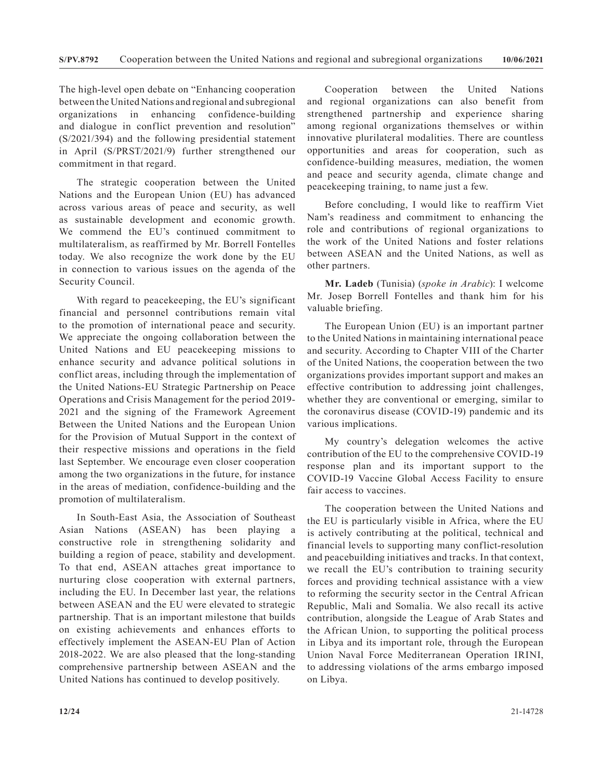The high-level open debate on "Enhancing cooperation between the United Nations and regional and subregional organizations in enhancing confidence-building and dialogue in conflict prevention and resolution" (S/2021/394) and the following presidential statement in April (S/PRST/2021/9) further strengthened our commitment in that regard.

The strategic cooperation between the United Nations and the European Union (EU) has advanced across various areas of peace and security, as well as sustainable development and economic growth. We commend the EU's continued commitment to multilateralism, as reaffirmed by Mr. Borrell Fontelles today. We also recognize the work done by the EU in connection to various issues on the agenda of the Security Council.

With regard to peacekeeping, the EU's significant financial and personnel contributions remain vital to the promotion of international peace and security. We appreciate the ongoing collaboration between the United Nations and EU peacekeeping missions to enhance security and advance political solutions in conflict areas, including through the implementation of the United Nations-EU Strategic Partnership on Peace Operations and Crisis Management for the period 2019- 2021 and the signing of the Framework Agreement Between the United Nations and the European Union for the Provision of Mutual Support in the context of their respective missions and operations in the field last September. We encourage even closer cooperation among the two organizations in the future, for instance in the areas of mediation, confidence-building and the promotion of multilateralism.

In South-East Asia, the Association of Southeast Asian Nations (ASEAN) has been playing a constructive role in strengthening solidarity and building a region of peace, stability and development. To that end, ASEAN attaches great importance to nurturing close cooperation with external partners, including the EU. In December last year, the relations between ASEAN and the EU were elevated to strategic partnership. That is an important milestone that builds on existing achievements and enhances efforts to effectively implement the ASEAN-EU Plan of Action 2018-2022. We are also pleased that the long-standing comprehensive partnership between ASEAN and the United Nations has continued to develop positively.

Cooperation between the United Nations and regional organizations can also benefit from strengthened partnership and experience sharing among regional organizations themselves or within innovative plurilateral modalities. There are countless opportunities and areas for cooperation, such as confidence-building measures, mediation, the women and peace and security agenda, climate change and peacekeeping training, to name just a few.

Before concluding, I would like to reaffirm Viet Nam's readiness and commitment to enhancing the role and contributions of regional organizations to the work of the United Nations and foster relations between ASEAN and the United Nations, as well as other partners.

**Mr. Ladeb** (Tunisia) (*spoke in Arabic*): I welcome Mr. Josep Borrell Fontelles and thank him for his valuable briefing.

The European Union (EU) is an important partner to the United Nations in maintaining international peace and security. According to Chapter VIII of the Charter of the United Nations, the cooperation between the two organizations provides important support and makes an effective contribution to addressing joint challenges, whether they are conventional or emerging, similar to the coronavirus disease (COVID-19) pandemic and its various implications.

My country's delegation welcomes the active contribution of the EU to the comprehensive COVID-19 response plan and its important support to the COVID-19 Vaccine Global Access Facility to ensure fair access to vaccines.

The cooperation between the United Nations and the EU is particularly visible in Africa, where the EU is actively contributing at the political, technical and financial levels to supporting many conflict-resolution and peacebuilding initiatives and tracks. In that context, we recall the EU's contribution to training security forces and providing technical assistance with a view to reforming the security sector in the Central African Republic, Mali and Somalia. We also recall its active contribution, alongside the League of Arab States and the African Union, to supporting the political process in Libya and its important role, through the European Union Naval Force Mediterranean Operation IRINI, to addressing violations of the arms embargo imposed on Libya.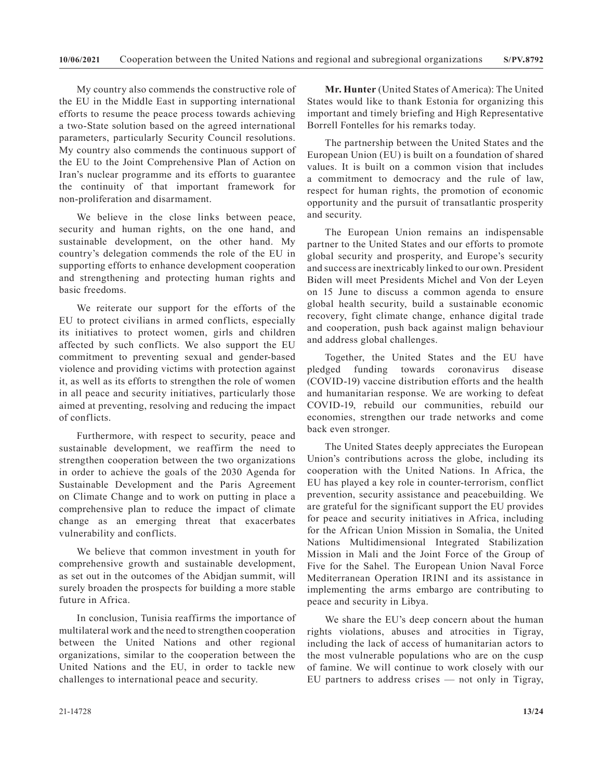My country also commends the constructive role of the EU in the Middle East in supporting international efforts to resume the peace process towards achieving a two-State solution based on the agreed international parameters, particularly Security Council resolutions. My country also commends the continuous support of the EU to the Joint Comprehensive Plan of Action on Iran's nuclear programme and its efforts to guarantee the continuity of that important framework for non-proliferation and disarmament.

We believe in the close links between peace, security and human rights, on the one hand, and sustainable development, on the other hand. My country's delegation commends the role of the EU in supporting efforts to enhance development cooperation and strengthening and protecting human rights and basic freedoms.

We reiterate our support for the efforts of the EU to protect civilians in armed conflicts, especially its initiatives to protect women, girls and children affected by such conflicts. We also support the EU commitment to preventing sexual and gender-based violence and providing victims with protection against it, as well as its efforts to strengthen the role of women in all peace and security initiatives, particularly those aimed at preventing, resolving and reducing the impact of conflicts.

Furthermore, with respect to security, peace and sustainable development, we reaffirm the need to strengthen cooperation between the two organizations in order to achieve the goals of the 2030 Agenda for Sustainable Development and the Paris Agreement on Climate Change and to work on putting in place a comprehensive plan to reduce the impact of climate change as an emerging threat that exacerbates vulnerability and conflicts.

We believe that common investment in youth for comprehensive growth and sustainable development, as set out in the outcomes of the Abidjan summit, will surely broaden the prospects for building a more stable future in Africa.

In conclusion, Tunisia reaffirms the importance of multilateral work and the need to strengthen cooperation between the United Nations and other regional organizations, similar to the cooperation between the United Nations and the EU, in order to tackle new challenges to international peace and security.

**Mr. Hunter** (United States of America): The United States would like to thank Estonia for organizing this important and timely briefing and High Representative Borrell Fontelles for his remarks today.

The partnership between the United States and the European Union (EU) is built on a foundation of shared values. It is built on a common vision that includes a commitment to democracy and the rule of law, respect for human rights, the promotion of economic opportunity and the pursuit of transatlantic prosperity and security.

The European Union remains an indispensable partner to the United States and our efforts to promote global security and prosperity, and Europe's security and success are inextricably linked to our own. President Biden will meet Presidents Michel and Von der Leyen on 15 June to discuss a common agenda to ensure global health security, build a sustainable economic recovery, fight climate change, enhance digital trade and cooperation, push back against malign behaviour and address global challenges.

Together, the United States and the EU have pledged funding towards coronavirus disease (COVID-19) vaccine distribution efforts and the health and humanitarian response. We are working to defeat COVID-19, rebuild our communities, rebuild our economies, strengthen our trade networks and come back even stronger.

The United States deeply appreciates the European Union's contributions across the globe, including its cooperation with the United Nations. In Africa, the EU has played a key role in counter-terrorism, conflict prevention, security assistance and peacebuilding. We are grateful for the significant support the EU provides for peace and security initiatives in Africa, including for the African Union Mission in Somalia, the United Nations Multidimensional Integrated Stabilization Mission in Mali and the Joint Force of the Group of Five for the Sahel. The European Union Naval Force Mediterranean Operation IRINI and its assistance in implementing the arms embargo are contributing to peace and security in Libya.

We share the EU's deep concern about the human rights violations, abuses and atrocities in Tigray, including the lack of access of humanitarian actors to the most vulnerable populations who are on the cusp of famine. We will continue to work closely with our EU partners to address crises — not only in Tigray,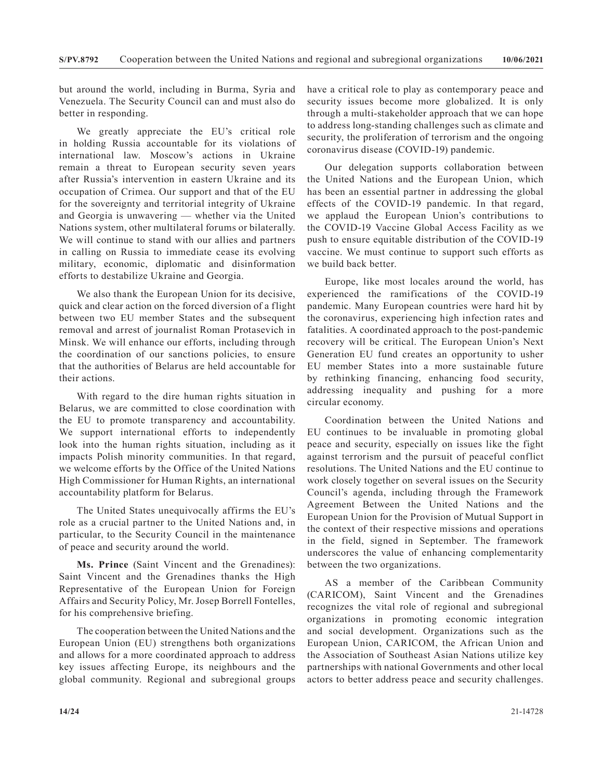but around the world, including in Burma, Syria and Venezuela. The Security Council can and must also do better in responding.

We greatly appreciate the EU's critical role in holding Russia accountable for its violations of international law. Moscow's actions in Ukraine remain a threat to European security seven years after Russia's intervention in eastern Ukraine and its occupation of Crimea. Our support and that of the EU for the sovereignty and territorial integrity of Ukraine and Georgia is unwavering — whether via the United Nations system, other multilateral forums or bilaterally. We will continue to stand with our allies and partners in calling on Russia to immediate cease its evolving military, economic, diplomatic and disinformation efforts to destabilize Ukraine and Georgia.

We also thank the European Union for its decisive, quick and clear action on the forced diversion of a flight between two EU member States and the subsequent removal and arrest of journalist Roman Protasevich in Minsk. We will enhance our efforts, including through the coordination of our sanctions policies, to ensure that the authorities of Belarus are held accountable for their actions.

With regard to the dire human rights situation in Belarus, we are committed to close coordination with the EU to promote transparency and accountability. We support international efforts to independently look into the human rights situation, including as it impacts Polish minority communities. In that regard, we welcome efforts by the Office of the United Nations High Commissioner for Human Rights, an international accountability platform for Belarus.

The United States unequivocally affirms the EU's role as a crucial partner to the United Nations and, in particular, to the Security Council in the maintenance of peace and security around the world.

**Ms. Prince** (Saint Vincent and the Grenadines): Saint Vincent and the Grenadines thanks the High Representative of the European Union for Foreign Affairs and Security Policy, Mr. Josep Borrell Fontelles, for his comprehensive briefing.

The cooperation between the United Nations and the European Union (EU) strengthens both organizations and allows for a more coordinated approach to address key issues affecting Europe, its neighbours and the global community. Regional and subregional groups

have a critical role to play as contemporary peace and security issues become more globalized. It is only through a multi-stakeholder approach that we can hope to address long-standing challenges such as climate and security, the proliferation of terrorism and the ongoing coronavirus disease (COVID-19) pandemic.

Our delegation supports collaboration between the United Nations and the European Union, which has been an essential partner in addressing the global effects of the COVID-19 pandemic. In that regard, we applaud the European Union's contributions to the COVID-19 Vaccine Global Access Facility as we push to ensure equitable distribution of the COVID-19 vaccine. We must continue to support such efforts as we build back better.

Europe, like most locales around the world, has experienced the ramifications of the COVID-19 pandemic. Many European countries were hard hit by the coronavirus, experiencing high infection rates and fatalities. A coordinated approach to the post-pandemic recovery will be critical. The European Union's Next Generation EU fund creates an opportunity to usher EU member States into a more sustainable future by rethinking financing, enhancing food security, addressing inequality and pushing for a more circular economy.

Coordination between the United Nations and EU continues to be invaluable in promoting global peace and security, especially on issues like the fight against terrorism and the pursuit of peaceful conflict resolutions. The United Nations and the EU continue to work closely together on several issues on the Security Council's agenda, including through the Framework Agreement Between the United Nations and the European Union for the Provision of Mutual Support in the context of their respective missions and operations in the field, signed in September. The framework underscores the value of enhancing complementarity between the two organizations.

AS a member of the Caribbean Community (CARICOM), Saint Vincent and the Grenadines recognizes the vital role of regional and subregional organizations in promoting economic integration and social development. Organizations such as the European Union, CARICOM, the African Union and the Association of Southeast Asian Nations utilize key partnerships with national Governments and other local actors to better address peace and security challenges.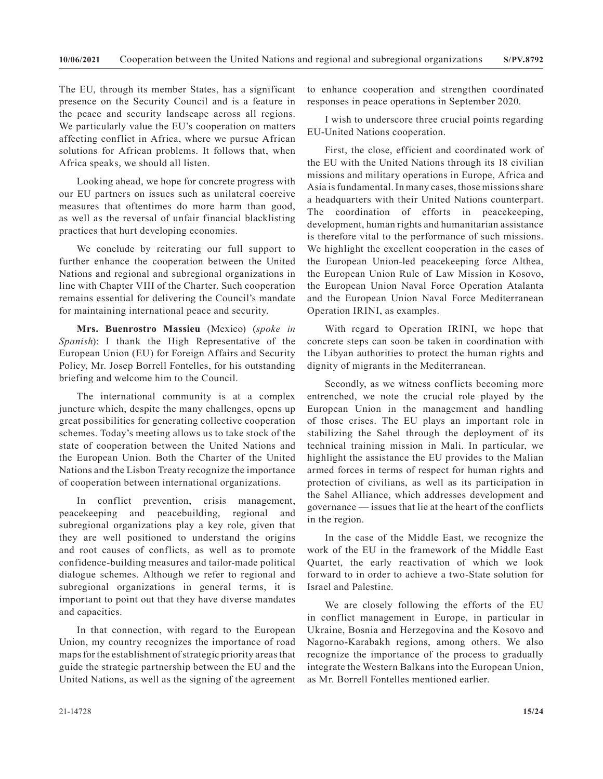The EU, through its member States, has a significant presence on the Security Council and is a feature in the peace and security landscape across all regions. We particularly value the EU's cooperation on matters affecting conflict in Africa, where we pursue African solutions for African problems. It follows that, when Africa speaks, we should all listen.

Looking ahead, we hope for concrete progress with our EU partners on issues such as unilateral coercive measures that oftentimes do more harm than good, as well as the reversal of unfair financial blacklisting practices that hurt developing economies.

We conclude by reiterating our full support to further enhance the cooperation between the United Nations and regional and subregional organizations in line with Chapter VIII of the Charter. Such cooperation remains essential for delivering the Council's mandate for maintaining international peace and security.

**Mrs. Buenrostro Massieu** (Mexico) (*spoke in Spanish*): I thank the High Representative of the European Union (EU) for Foreign Affairs and Security Policy, Mr. Josep Borrell Fontelles, for his outstanding briefing and welcome him to the Council.

The international community is at a complex juncture which, despite the many challenges, opens up great possibilities for generating collective cooperation schemes. Today's meeting allows us to take stock of the state of cooperation between the United Nations and the European Union. Both the Charter of the United Nations and the Lisbon Treaty recognize the importance of cooperation between international organizations.

In conflict prevention, crisis management, peacekeeping and peacebuilding, regional and subregional organizations play a key role, given that they are well positioned to understand the origins and root causes of conflicts, as well as to promote confidence-building measures and tailor-made political dialogue schemes. Although we refer to regional and subregional organizations in general terms, it is important to point out that they have diverse mandates and capacities.

In that connection, with regard to the European Union, my country recognizes the importance of road maps for the establishment of strategic priority areas that guide the strategic partnership between the EU and the United Nations, as well as the signing of the agreement

to enhance cooperation and strengthen coordinated responses in peace operations in September 2020.

I wish to underscore three crucial points regarding EU-United Nations cooperation.

First, the close, efficient and coordinated work of the EU with the United Nations through its 18 civilian missions and military operations in Europe, Africa and Asia is fundamental. In many cases, those missions share a headquarters with their United Nations counterpart. The coordination of efforts in peacekeeping, development, human rights and humanitarian assistance is therefore vital to the performance of such missions. We highlight the excellent cooperation in the cases of the European Union-led peacekeeping force Althea, the European Union Rule of Law Mission in Kosovo, the European Union Naval Force Operation Atalanta and the European Union Naval Force Mediterranean Operation IRINI, as examples.

With regard to Operation IRINI, we hope that concrete steps can soon be taken in coordination with the Libyan authorities to protect the human rights and dignity of migrants in the Mediterranean.

Secondly, as we witness conflicts becoming more entrenched, we note the crucial role played by the European Union in the management and handling of those crises. The EU plays an important role in stabilizing the Sahel through the deployment of its technical training mission in Mali. In particular, we highlight the assistance the EU provides to the Malian armed forces in terms of respect for human rights and protection of civilians, as well as its participation in the Sahel Alliance, which addresses development and governance — issues that lie at the heart of the conflicts in the region.

In the case of the Middle East, we recognize the work of the EU in the framework of the Middle East Quartet, the early reactivation of which we look forward to in order to achieve a two-State solution for Israel and Palestine.

We are closely following the efforts of the EU in conflict management in Europe, in particular in Ukraine, Bosnia and Herzegovina and the Kosovo and Nagorno-Karabakh regions, among others. We also recognize the importance of the process to gradually integrate the Western Balkans into the European Union, as Mr. Borrell Fontelles mentioned earlier.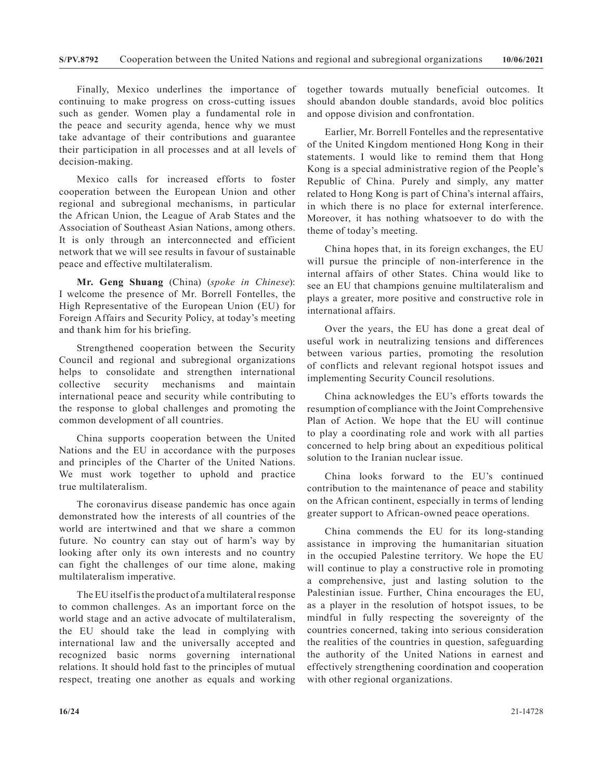Finally, Mexico underlines the importance of continuing to make progress on cross-cutting issues such as gender. Women play a fundamental role in the peace and security agenda, hence why we must take advantage of their contributions and guarantee their participation in all processes and at all levels of decision-making.

Mexico calls for increased efforts to foster cooperation between the European Union and other regional and subregional mechanisms, in particular the African Union, the League of Arab States and the Association of Southeast Asian Nations, among others. It is only through an interconnected and efficient network that we will see results in favour of sustainable peace and effective multilateralism.

**Mr. Geng Shuang** (China) (*spoke in Chinese*): I welcome the presence of Mr. Borrell Fontelles, the High Representative of the European Union (EU) for Foreign Affairs and Security Policy, at today's meeting and thank him for his briefing.

Strengthened cooperation between the Security Council and regional and subregional organizations helps to consolidate and strengthen international collective security mechanisms and maintain international peace and security while contributing to the response to global challenges and promoting the common development of all countries.

China supports cooperation between the United Nations and the EU in accordance with the purposes and principles of the Charter of the United Nations. We must work together to uphold and practice true multilateralism.

The coronavirus disease pandemic has once again demonstrated how the interests of all countries of the world are intertwined and that we share a common future. No country can stay out of harm's way by looking after only its own interests and no country can fight the challenges of our time alone, making multilateralism imperative.

The EU itself is the product of a multilateral response to common challenges. As an important force on the world stage and an active advocate of multilateralism, the EU should take the lead in complying with international law and the universally accepted and recognized basic norms governing international relations. It should hold fast to the principles of mutual respect, treating one another as equals and working together towards mutually beneficial outcomes. It should abandon double standards, avoid bloc politics and oppose division and confrontation.

Earlier, Mr. Borrell Fontelles and the representative of the United Kingdom mentioned Hong Kong in their statements. I would like to remind them that Hong Kong is a special administrative region of the People's Republic of China. Purely and simply, any matter related to Hong Kong is part of China's internal affairs, in which there is no place for external interference. Moreover, it has nothing whatsoever to do with the theme of today's meeting.

China hopes that, in its foreign exchanges, the EU will pursue the principle of non-interference in the internal affairs of other States. China would like to see an EU that champions genuine multilateralism and plays a greater, more positive and constructive role in international affairs.

Over the years, the EU has done a great deal of useful work in neutralizing tensions and differences between various parties, promoting the resolution of conflicts and relevant regional hotspot issues and implementing Security Council resolutions.

China acknowledges the EU's efforts towards the resumption of compliance with the Joint Comprehensive Plan of Action. We hope that the EU will continue to play a coordinating role and work with all parties concerned to help bring about an expeditious political solution to the Iranian nuclear issue.

China looks forward to the EU's continued contribution to the maintenance of peace and stability on the African continent, especially in terms of lending greater support to African-owned peace operations.

China commends the EU for its long-standing assistance in improving the humanitarian situation in the occupied Palestine territory. We hope the EU will continue to play a constructive role in promoting a comprehensive, just and lasting solution to the Palestinian issue. Further, China encourages the EU, as a player in the resolution of hotspot issues, to be mindful in fully respecting the sovereignty of the countries concerned, taking into serious consideration the realities of the countries in question, safeguarding the authority of the United Nations in earnest and effectively strengthening coordination and cooperation with other regional organizations.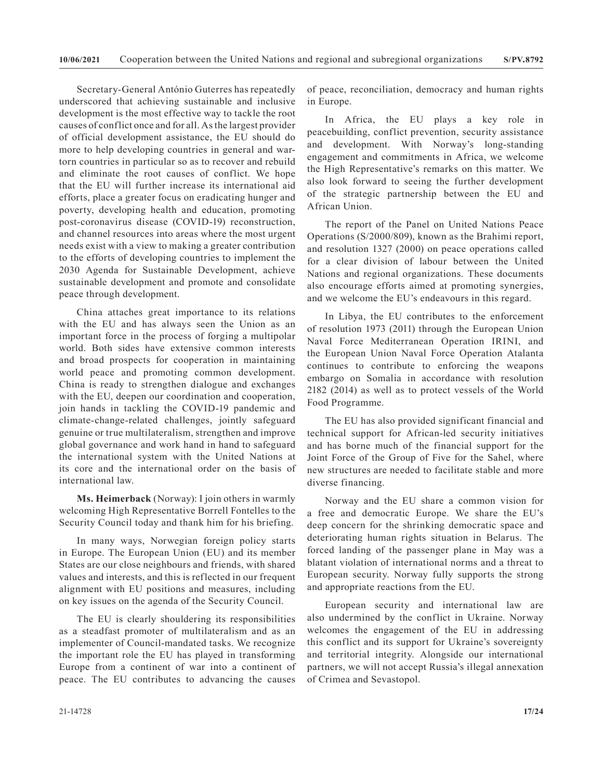Secretary-General António Guterres has repeatedly underscored that achieving sustainable and inclusive development is the most effective way to tackle the root causes of conflict once and for all. As the largest provider of official development assistance, the EU should do more to help developing countries in general and wartorn countries in particular so as to recover and rebuild and eliminate the root causes of conflict. We hope that the EU will further increase its international aid efforts, place a greater focus on eradicating hunger and poverty, developing health and education, promoting post-coronavirus disease (COVID-19) reconstruction, and channel resources into areas where the most urgent needs exist with a view to making a greater contribution to the efforts of developing countries to implement the 2030 Agenda for Sustainable Development, achieve sustainable development and promote and consolidate peace through development.

China attaches great importance to its relations with the EU and has always seen the Union as an important force in the process of forging a multipolar world. Both sides have extensive common interests and broad prospects for cooperation in maintaining world peace and promoting common development. China is ready to strengthen dialogue and exchanges with the EU, deepen our coordination and cooperation, join hands in tackling the COVID-19 pandemic and climate-change-related challenges, jointly safeguard genuine or true multilateralism, strengthen and improve global governance and work hand in hand to safeguard the international system with the United Nations at its core and the international order on the basis of international law.

**Ms. Heimerback** (Norway): I join others in warmly welcoming High Representative Borrell Fontelles to the Security Council today and thank him for his briefing.

In many ways, Norwegian foreign policy starts in Europe. The European Union (EU) and its member States are our close neighbours and friends, with shared values and interests, and this is reflected in our frequent alignment with EU positions and measures, including on key issues on the agenda of the Security Council.

The EU is clearly shouldering its responsibilities as a steadfast promoter of multilateralism and as an implementer of Council-mandated tasks. We recognize the important role the EU has played in transforming Europe from a continent of war into a continent of peace. The EU contributes to advancing the causes

of peace, reconciliation, democracy and human rights in Europe.

In Africa, the EU plays a key role in peacebuilding, conflict prevention, security assistance and development. With Norway's long-standing engagement and commitments in Africa, we welcome the High Representative's remarks on this matter. We also look forward to seeing the further development of the strategic partnership between the EU and African Union.

The report of the Panel on United Nations Peace Operations (S/2000/809), known as the Brahimi report, and resolution 1327 (2000) on peace operations called for a clear division of labour between the United Nations and regional organizations. These documents also encourage efforts aimed at promoting synergies, and we welcome the EU's endeavours in this regard.

In Libya, the EU contributes to the enforcement of resolution 1973 (2011) through the European Union Naval Force Mediterranean Operation IRINI, and the European Union Naval Force Operation Atalanta continues to contribute to enforcing the weapons embargo on Somalia in accordance with resolution 2182 (2014) as well as to protect vessels of the World Food Programme.

The EU has also provided significant financial and technical support for African-led security initiatives and has borne much of the financial support for the Joint Force of the Group of Five for the Sahel, where new structures are needed to facilitate stable and more diverse financing.

Norway and the EU share a common vision for a free and democratic Europe. We share the EU's deep concern for the shrinking democratic space and deteriorating human rights situation in Belarus. The forced landing of the passenger plane in May was a blatant violation of international norms and a threat to European security. Norway fully supports the strong and appropriate reactions from the EU.

European security and international law are also undermined by the conflict in Ukraine. Norway welcomes the engagement of the EU in addressing this conflict and its support for Ukraine's sovereignty and territorial integrity. Alongside our international partners, we will not accept Russia's illegal annexation of Crimea and Sevastopol.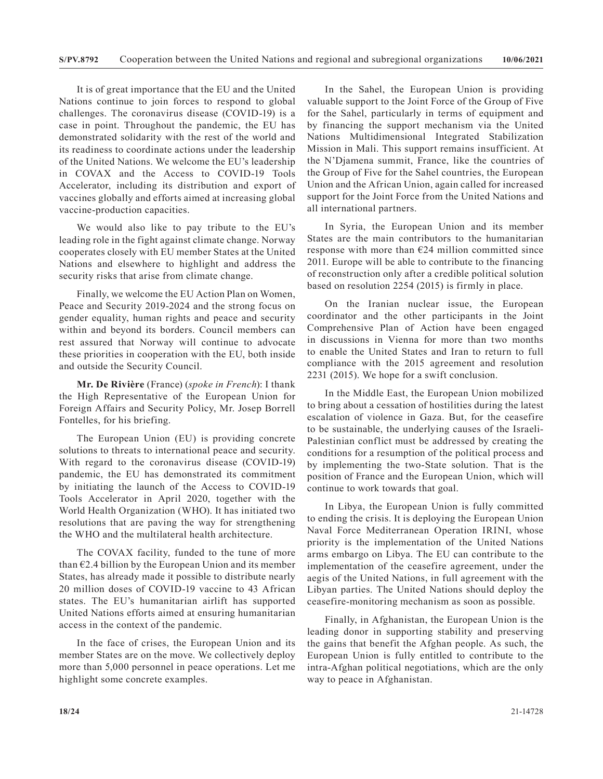It is of great importance that the EU and the United Nations continue to join forces to respond to global challenges. The coronavirus disease (COVID-19) is a case in point. Throughout the pandemic, the EU has demonstrated solidarity with the rest of the world and its readiness to coordinate actions under the leadership of the United Nations. We welcome the EU's leadership in COVAX and the Access to COVID-19 Tools Accelerator, including its distribution and export of vaccines globally and efforts aimed at increasing global vaccine-production capacities.

We would also like to pay tribute to the EU's leading role in the fight against climate change. Norway cooperates closely with EU member States at the United Nations and elsewhere to highlight and address the security risks that arise from climate change.

Finally, we welcome the EU Action Plan on Women, Peace and Security 2019-2024 and the strong focus on gender equality, human rights and peace and security within and beyond its borders. Council members can rest assured that Norway will continue to advocate these priorities in cooperation with the EU, both inside and outside the Security Council.

**Mr. De Rivière** (France) (*spoke in French*): I thank the High Representative of the European Union for Foreign Affairs and Security Policy, Mr. Josep Borrell Fontelles, for his briefing.

The European Union (EU) is providing concrete solutions to threats to international peace and security. With regard to the coronavirus disease (COVID-19) pandemic, the EU has demonstrated its commitment by initiating the launch of the Access to COVID-19 Tools Accelerator in April 2020, together with the World Health Organization (WHO). It has initiated two resolutions that are paving the way for strengthening the WHO and the multilateral health architecture.

The COVAX facility, funded to the tune of more than  $E2.4$  billion by the European Union and its member States, has already made it possible to distribute nearly 20 million doses of COVID-19 vaccine to 43 African states. The EU's humanitarian airlift has supported United Nations efforts aimed at ensuring humanitarian access in the context of the pandemic.

In the face of crises, the European Union and its member States are on the move. We collectively deploy more than 5,000 personnel in peace operations. Let me highlight some concrete examples.

In the Sahel, the European Union is providing valuable support to the Joint Force of the Group of Five for the Sahel, particularly in terms of equipment and by financing the support mechanism via the United Nations Multidimensional Integrated Stabilization Mission in Mali. This support remains insufficient. At the N'Djamena summit, France, like the countries of the Group of Five for the Sahel countries, the European Union and the African Union, again called for increased support for the Joint Force from the United Nations and all international partners.

In Syria, the European Union and its member States are the main contributors to the humanitarian response with more than  $E24$  million committed since 2011. Europe will be able to contribute to the financing of reconstruction only after a credible political solution based on resolution 2254 (2015) is firmly in place.

On the Iranian nuclear issue, the European coordinator and the other participants in the Joint Comprehensive Plan of Action have been engaged in discussions in Vienna for more than two months to enable the United States and Iran to return to full compliance with the 2015 agreement and resolution 2231 (2015). We hope for a swift conclusion.

In the Middle East, the European Union mobilized to bring about a cessation of hostilities during the latest escalation of violence in Gaza. But, for the ceasefire to be sustainable, the underlying causes of the Israeli-Palestinian conflict must be addressed by creating the conditions for a resumption of the political process and by implementing the two-State solution. That is the position of France and the European Union, which will continue to work towards that goal.

In Libya, the European Union is fully committed to ending the crisis. It is deploying the European Union Naval Force Mediterranean Operation IRINI, whose priority is the implementation of the United Nations arms embargo on Libya. The EU can contribute to the implementation of the ceasefire agreement, under the aegis of the United Nations, in full agreement with the Libyan parties. The United Nations should deploy the ceasefire-monitoring mechanism as soon as possible.

Finally, in Afghanistan, the European Union is the leading donor in supporting stability and preserving the gains that benefit the Afghan people. As such, the European Union is fully entitled to contribute to the intra-Afghan political negotiations, which are the only way to peace in Afghanistan.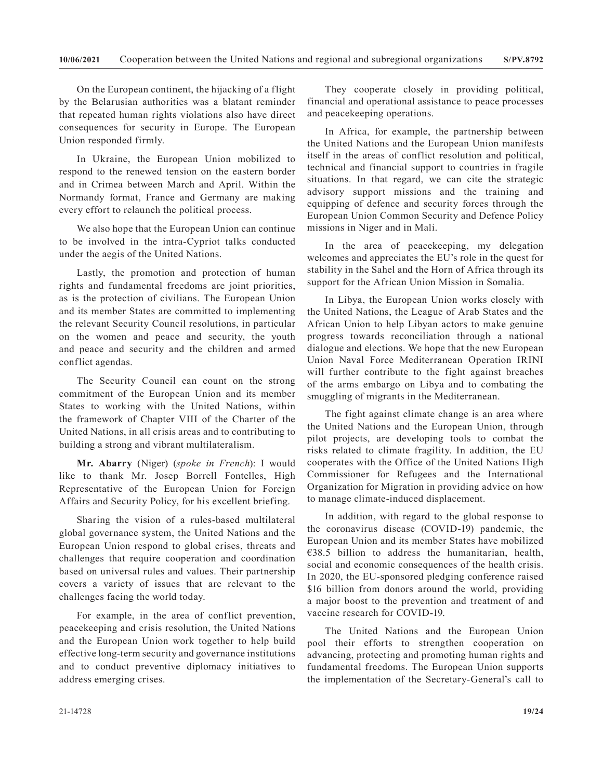On the European continent, the hijacking of a flight by the Belarusian authorities was a blatant reminder that repeated human rights violations also have direct consequences for security in Europe. The European Union responded firmly.

In Ukraine, the European Union mobilized to respond to the renewed tension on the eastern border and in Crimea between March and April. Within the Normandy format, France and Germany are making every effort to relaunch the political process.

We also hope that the European Union can continue to be involved in the intra-Cypriot talks conducted under the aegis of the United Nations.

Lastly, the promotion and protection of human rights and fundamental freedoms are joint priorities, as is the protection of civilians. The European Union and its member States are committed to implementing the relevant Security Council resolutions, in particular on the women and peace and security, the youth and peace and security and the children and armed conflict agendas.

The Security Council can count on the strong commitment of the European Union and its member States to working with the United Nations, within the framework of Chapter VIII of the Charter of the United Nations, in all crisis areas and to contributing to building a strong and vibrant multilateralism.

**Mr. Abarry** (Niger) (*spoke in French*): I would like to thank Mr. Josep Borrell Fontelles, High Representative of the European Union for Foreign Affairs and Security Policy, for his excellent briefing.

Sharing the vision of a rules-based multilateral global governance system, the United Nations and the European Union respond to global crises, threats and challenges that require cooperation and coordination based on universal rules and values. Their partnership covers a variety of issues that are relevant to the challenges facing the world today.

For example, in the area of conflict prevention, peacekeeping and crisis resolution, the United Nations and the European Union work together to help build effective long-term security and governance institutions and to conduct preventive diplomacy initiatives to address emerging crises.

They cooperate closely in providing political, financial and operational assistance to peace processes and peacekeeping operations.

In Africa, for example, the partnership between the United Nations and the European Union manifests itself in the areas of conflict resolution and political, technical and financial support to countries in fragile situations. In that regard, we can cite the strategic advisory support missions and the training and equipping of defence and security forces through the European Union Common Security and Defence Policy missions in Niger and in Mali.

In the area of peacekeeping, my delegation welcomes and appreciates the EU's role in the quest for stability in the Sahel and the Horn of Africa through its support for the African Union Mission in Somalia.

In Libya, the European Union works closely with the United Nations, the League of Arab States and the African Union to help Libyan actors to make genuine progress towards reconciliation through a national dialogue and elections. We hope that the new European Union Naval Force Mediterranean Operation IRINI will further contribute to the fight against breaches of the arms embargo on Libya and to combating the smuggling of migrants in the Mediterranean.

The fight against climate change is an area where the United Nations and the European Union, through pilot projects, are developing tools to combat the risks related to climate fragility. In addition, the EU cooperates with the Office of the United Nations High Commissioner for Refugees and the International Organization for Migration in providing advice on how to manage climate-induced displacement.

In addition, with regard to the global response to the coronavirus disease (COVID-19) pandemic, the European Union and its member States have mobilized  $€38.5$  billion to address the humanitarian, health, social and economic consequences of the health crisis. In 2020, the EU-sponsored pledging conference raised \$16 billion from donors around the world, providing a major boost to the prevention and treatment of and vaccine research for COVID-19.

The United Nations and the European Union pool their efforts to strengthen cooperation on advancing, protecting and promoting human rights and fundamental freedoms. The European Union supports the implementation of the Secretary-General's call to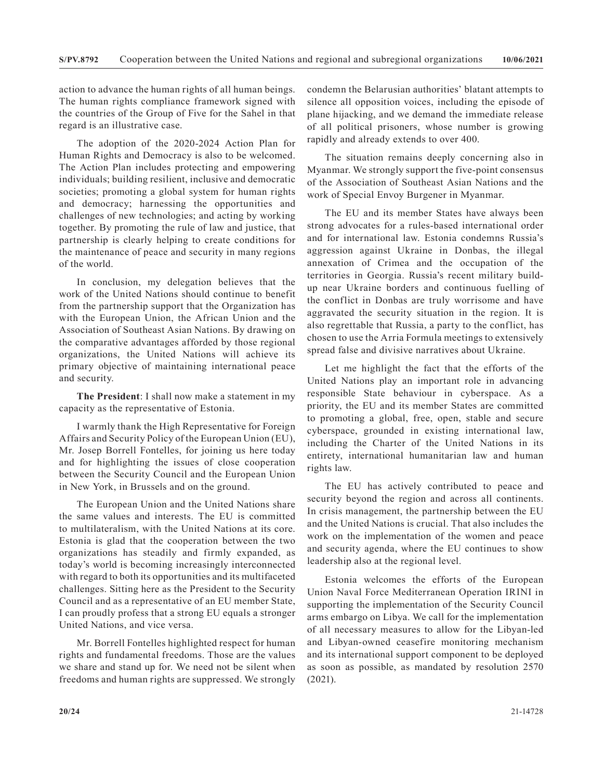action to advance the human rights of all human beings. The human rights compliance framework signed with the countries of the Group of Five for the Sahel in that regard is an illustrative case.

The adoption of the 2020-2024 Action Plan for Human Rights and Democracy is also to be welcomed. The Action Plan includes protecting and empowering individuals; building resilient, inclusive and democratic societies; promoting a global system for human rights and democracy; harnessing the opportunities and challenges of new technologies; and acting by working together. By promoting the rule of law and justice, that partnership is clearly helping to create conditions for the maintenance of peace and security in many regions of the world.

In conclusion, my delegation believes that the work of the United Nations should continue to benefit from the partnership support that the Organization has with the European Union, the African Union and the Association of Southeast Asian Nations. By drawing on the comparative advantages afforded by those regional organizations, the United Nations will achieve its primary objective of maintaining international peace and security.

**The President**: I shall now make a statement in my capacity as the representative of Estonia.

I warmly thank the High Representative for Foreign Affairs and Security Policy of the European Union (EU), Mr. Josep Borrell Fontelles, for joining us here today and for highlighting the issues of close cooperation between the Security Council and the European Union in New York, in Brussels and on the ground.

The European Union and the United Nations share the same values and interests. The EU is committed to multilateralism, with the United Nations at its core. Estonia is glad that the cooperation between the two organizations has steadily and firmly expanded, as today's world is becoming increasingly interconnected with regard to both its opportunities and its multifaceted challenges. Sitting here as the President to the Security Council and as a representative of an EU member State, I can proudly profess that a strong EU equals a stronger United Nations, and vice versa.

Mr. Borrell Fontelles highlighted respect for human rights and fundamental freedoms. Those are the values we share and stand up for. We need not be silent when freedoms and human rights are suppressed. We strongly condemn the Belarusian authorities' blatant attempts to silence all opposition voices, including the episode of plane hijacking, and we demand the immediate release of all political prisoners, whose number is growing rapidly and already extends to over 400.

The situation remains deeply concerning also in Myanmar. We strongly support the five-point consensus of the Association of Southeast Asian Nations and the work of Special Envoy Burgener in Myanmar.

The EU and its member States have always been strong advocates for a rules-based international order and for international law. Estonia condemns Russia's aggression against Ukraine in Donbas, the illegal annexation of Crimea and the occupation of the territories in Georgia. Russia's recent military buildup near Ukraine borders and continuous fuelling of the conflict in Donbas are truly worrisome and have aggravated the security situation in the region. It is also regrettable that Russia, a party to the conflict, has chosen to use the Arria Formula meetings to extensively spread false and divisive narratives about Ukraine.

Let me highlight the fact that the efforts of the United Nations play an important role in advancing responsible State behaviour in cyberspace. As a priority, the EU and its member States are committed to promoting a global, free, open, stable and secure cyberspace, grounded in existing international law, including the Charter of the United Nations in its entirety, international humanitarian law and human rights law.

The EU has actively contributed to peace and security beyond the region and across all continents. In crisis management, the partnership between the EU and the United Nations is crucial. That also includes the work on the implementation of the women and peace and security agenda, where the EU continues to show leadership also at the regional level.

Estonia welcomes the efforts of the European Union Naval Force Mediterranean Operation IRINI in supporting the implementation of the Security Council arms embargo on Libya. We call for the implementation of all necessary measures to allow for the Libyan-led and Libyan-owned ceasefire monitoring mechanism and its international support component to be deployed as soon as possible, as mandated by resolution 2570 (2021).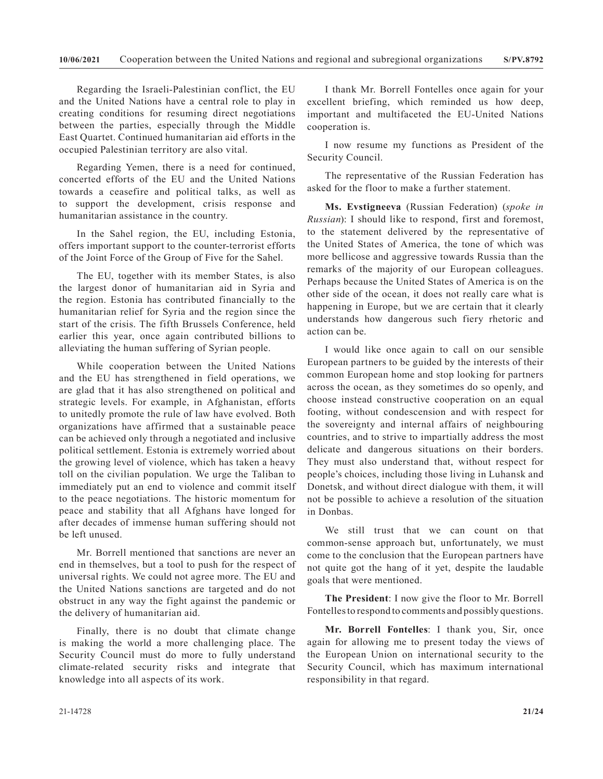Regarding the Israeli-Palestinian conflict, the EU and the United Nations have a central role to play in creating conditions for resuming direct negotiations between the parties, especially through the Middle East Quartet. Continued humanitarian aid efforts in the occupied Palestinian territory are also vital.

Regarding Yemen, there is a need for continued, concerted efforts of the EU and the United Nations towards a ceasefire and political talks, as well as to support the development, crisis response and humanitarian assistance in the country.

In the Sahel region, the EU, including Estonia, offers important support to the counter-terrorist efforts of the Joint Force of the Group of Five for the Sahel.

The EU, together with its member States, is also the largest donor of humanitarian aid in Syria and the region. Estonia has contributed financially to the humanitarian relief for Syria and the region since the start of the crisis. The fifth Brussels Conference, held earlier this year, once again contributed billions to alleviating the human suffering of Syrian people.

While cooperation between the United Nations and the EU has strengthened in field operations, we are glad that it has also strengthened on political and strategic levels. For example, in Afghanistan, efforts to unitedly promote the rule of law have evolved. Both organizations have affirmed that a sustainable peace can be achieved only through a negotiated and inclusive political settlement. Estonia is extremely worried about the growing level of violence, which has taken a heavy toll on the civilian population. We urge the Taliban to immediately put an end to violence and commit itself to the peace negotiations. The historic momentum for peace and stability that all Afghans have longed for after decades of immense human suffering should not be left unused.

Mr. Borrell mentioned that sanctions are never an end in themselves, but a tool to push for the respect of universal rights. We could not agree more. The EU and the United Nations sanctions are targeted and do not obstruct in any way the fight against the pandemic or the delivery of humanitarian aid.

Finally, there is no doubt that climate change is making the world a more challenging place. The Security Council must do more to fully understand climate-related security risks and integrate that knowledge into all aspects of its work.

I thank Mr. Borrell Fontelles once again for your excellent briefing, which reminded us how deep, important and multifaceted the EU-United Nations cooperation is.

I now resume my functions as President of the Security Council.

The representative of the Russian Federation has asked for the floor to make a further statement.

**Ms. Evstigneeva** (Russian Federation) (*spoke in Russian*): I should like to respond, first and foremost, to the statement delivered by the representative of the United States of America, the tone of which was more bellicose and aggressive towards Russia than the remarks of the majority of our European colleagues. Perhaps because the United States of America is on the other side of the ocean, it does not really care what is happening in Europe, but we are certain that it clearly understands how dangerous such fiery rhetoric and action can be.

I would like once again to call on our sensible European partners to be guided by the interests of their common European home and stop looking for partners across the ocean, as they sometimes do so openly, and choose instead constructive cooperation on an equal footing, without condescension and with respect for the sovereignty and internal affairs of neighbouring countries, and to strive to impartially address the most delicate and dangerous situations on their borders. They must also understand that, without respect for people's choices, including those living in Luhansk and Donetsk, and without direct dialogue with them, it will not be possible to achieve a resolution of the situation in Donbas.

We still trust that we can count on that common-sense approach but, unfortunately, we must come to the conclusion that the European partners have not quite got the hang of it yet, despite the laudable goals that were mentioned.

**The President**: I now give the floor to Mr. Borrell Fontelles to respond to comments and possibly questions.

**Mr. Borrell Fontelles**: I thank you, Sir, once again for allowing me to present today the views of the European Union on international security to the Security Council, which has maximum international responsibility in that regard.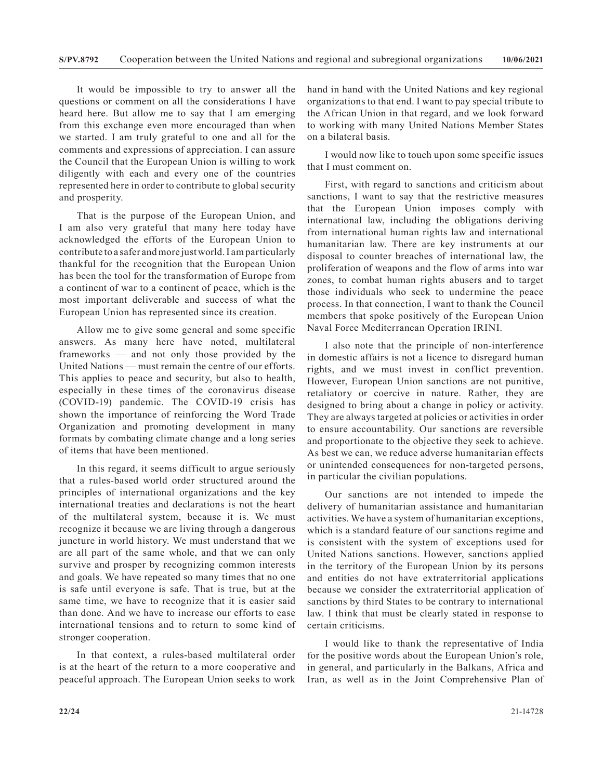It would be impossible to try to answer all the questions or comment on all the considerations I have heard here. But allow me to say that I am emerging from this exchange even more encouraged than when we started. I am truly grateful to one and all for the comments and expressions of appreciation. I can assure the Council that the European Union is willing to work diligently with each and every one of the countries represented here in order to contribute to global security and prosperity.

That is the purpose of the European Union, and I am also very grateful that many here today have acknowledged the efforts of the European Union to contribute to a safer and more just world. I am particularly thankful for the recognition that the European Union has been the tool for the transformation of Europe from a continent of war to a continent of peace, which is the most important deliverable and success of what the European Union has represented since its creation.

Allow me to give some general and some specific answers. As many here have noted, multilateral frameworks — and not only those provided by the United Nations — must remain the centre of our efforts. This applies to peace and security, but also to health, especially in these times of the coronavirus disease (COVID-19) pandemic. The COVID-19 crisis has shown the importance of reinforcing the Word Trade Organization and promoting development in many formats by combating climate change and a long series of items that have been mentioned.

In this regard, it seems difficult to argue seriously that a rules-based world order structured around the principles of international organizations and the key international treaties and declarations is not the heart of the multilateral system, because it is. We must recognize it because we are living through a dangerous juncture in world history. We must understand that we are all part of the same whole, and that we can only survive and prosper by recognizing common interests and goals. We have repeated so many times that no one is safe until everyone is safe. That is true, but at the same time, we have to recognize that it is easier said than done. And we have to increase our efforts to ease international tensions and to return to some kind of stronger cooperation.

In that context, a rules-based multilateral order is at the heart of the return to a more cooperative and peaceful approach. The European Union seeks to work

hand in hand with the United Nations and key regional organizations to that end. I want to pay special tribute to the African Union in that regard, and we look forward to working with many United Nations Member States on a bilateral basis.

I would now like to touch upon some specific issues that I must comment on.

First, with regard to sanctions and criticism about sanctions, I want to say that the restrictive measures that the European Union imposes comply with international law, including the obligations deriving from international human rights law and international humanitarian law. There are key instruments at our disposal to counter breaches of international law, the proliferation of weapons and the flow of arms into war zones, to combat human rights abusers and to target those individuals who seek to undermine the peace process. In that connection, I want to thank the Council members that spoke positively of the European Union Naval Force Mediterranean Operation IRINI.

I also note that the principle of non-interference in domestic affairs is not a licence to disregard human rights, and we must invest in conflict prevention. However, European Union sanctions are not punitive, retaliatory or coercive in nature. Rather, they are designed to bring about a change in policy or activity. They are always targeted at policies or activities in order to ensure accountability. Our sanctions are reversible and proportionate to the objective they seek to achieve. As best we can, we reduce adverse humanitarian effects or unintended consequences for non-targeted persons, in particular the civilian populations.

Our sanctions are not intended to impede the delivery of humanitarian assistance and humanitarian activities. We have a system of humanitarian exceptions, which is a standard feature of our sanctions regime and is consistent with the system of exceptions used for United Nations sanctions. However, sanctions applied in the territory of the European Union by its persons and entities do not have extraterritorial applications because we consider the extraterritorial application of sanctions by third States to be contrary to international law. I think that must be clearly stated in response to certain criticisms.

I would like to thank the representative of India for the positive words about the European Union's role, in general, and particularly in the Balkans, Africa and Iran, as well as in the Joint Comprehensive Plan of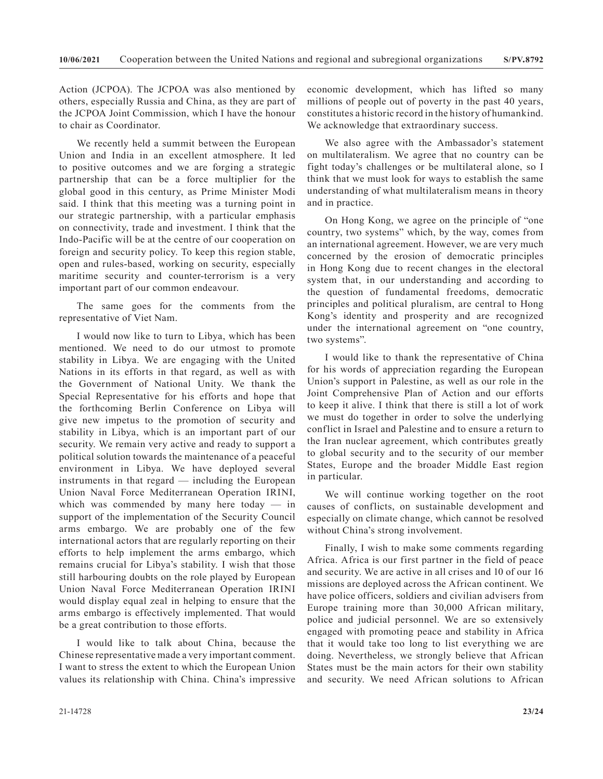Action (JCPOA). The JCPOA was also mentioned by others, especially Russia and China, as they are part of the JCPOA Joint Commission, which I have the honour to chair as Coordinator.

We recently held a summit between the European Union and India in an excellent atmosphere. It led to positive outcomes and we are forging a strategic partnership that can be a force multiplier for the global good in this century, as Prime Minister Modi said. I think that this meeting was a turning point in our strategic partnership, with a particular emphasis on connectivity, trade and investment. I think that the Indo-Pacific will be at the centre of our cooperation on foreign and security policy. To keep this region stable, open and rules-based, working on security, especially maritime security and counter-terrorism is a very important part of our common endeavour.

The same goes for the comments from the representative of Viet Nam.

I would now like to turn to Libya, which has been mentioned. We need to do our utmost to promote stability in Libya. We are engaging with the United Nations in its efforts in that regard, as well as with the Government of National Unity. We thank the Special Representative for his efforts and hope that the forthcoming Berlin Conference on Libya will give new impetus to the promotion of security and stability in Libya, which is an important part of our security. We remain very active and ready to support a political solution towards the maintenance of a peaceful environment in Libya. We have deployed several instruments in that regard — including the European Union Naval Force Mediterranean Operation IRINI, which was commended by many here today — in support of the implementation of the Security Council arms embargo. We are probably one of the few international actors that are regularly reporting on their efforts to help implement the arms embargo, which remains crucial for Libya's stability. I wish that those still harbouring doubts on the role played by European Union Naval Force Mediterranean Operation IRINI would display equal zeal in helping to ensure that the arms embargo is effectively implemented. That would be a great contribution to those efforts.

I would like to talk about China, because the Chinese representative made a very important comment. I want to stress the extent to which the European Union values its relationship with China. China's impressive

economic development, which has lifted so many millions of people out of poverty in the past 40 years, constitutes a historic record in the history of humankind. We acknowledge that extraordinary success.

We also agree with the Ambassador's statement on multilateralism. We agree that no country can be fight today's challenges or be multilateral alone, so I think that we must look for ways to establish the same understanding of what multilateralism means in theory and in practice.

On Hong Kong, we agree on the principle of "one country, two systems" which, by the way, comes from an international agreement. However, we are very much concerned by the erosion of democratic principles in Hong Kong due to recent changes in the electoral system that, in our understanding and according to the question of fundamental freedoms, democratic principles and political pluralism, are central to Hong Kong's identity and prosperity and are recognized under the international agreement on "one country, two systems".

I would like to thank the representative of China for his words of appreciation regarding the European Union's support in Palestine, as well as our role in the Joint Comprehensive Plan of Action and our efforts to keep it alive. I think that there is still a lot of work we must do together in order to solve the underlying conflict in Israel and Palestine and to ensure a return to the Iran nuclear agreement, which contributes greatly to global security and to the security of our member States, Europe and the broader Middle East region in particular.

We will continue working together on the root causes of conflicts, on sustainable development and especially on climate change, which cannot be resolved without China's strong involvement.

Finally, I wish to make some comments regarding Africa. Africa is our first partner in the field of peace and security. We are active in all crises and 10 of our 16 missions are deployed across the African continent. We have police officers, soldiers and civilian advisers from Europe training more than 30,000 African military, police and judicial personnel. We are so extensively engaged with promoting peace and stability in Africa that it would take too long to list everything we are doing. Nevertheless, we strongly believe that African States must be the main actors for their own stability and security. We need African solutions to African